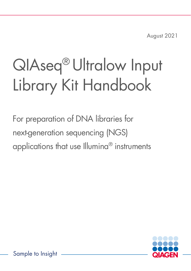August 2021

# QIAseq® Ultralow Input Library Kit Handbook

For preparation of DNA libraries for next-generation sequencing (NGS) applications that use Illumina® instruments



Sample to Insight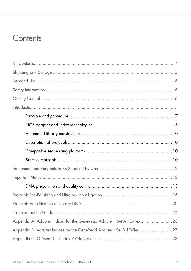### Contents

| Appendix A: Adapter Indices for the GeneRead Adapter I Set A 12-Plex 26 |  |
|-------------------------------------------------------------------------|--|
| Appendix B: Adapter Indices for the GeneRead Adapter I Set B 12-Plex27  |  |
|                                                                         |  |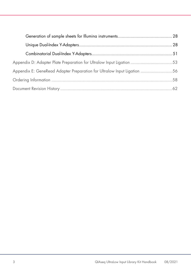| Appendix D: Adapter Plate Preparation for Ultralow Input Ligation 53    |  |
|-------------------------------------------------------------------------|--|
| Appendix E: GeneRead Adapter Preparation for Ultralow Input Ligation 56 |  |
|                                                                         |  |
|                                                                         |  |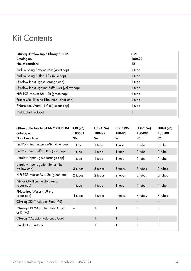### <span id="page-3-0"></span>Kit Contents

| QIAseq Ultralow Input Library Kit (12)<br>Catalog no.<br>No. of reactions | (12)<br>180492<br>12 |
|---------------------------------------------------------------------------|----------------------|
| End-Polishing Enzyme Mix (violet cap)                                     | 1 tube               |
| End-Polishing Buffer, 10x (blue cap)                                      | 1 tube               |
| Ultralow Input Ligase (orange cap)                                        | 1 tube               |
| Ultralow Input Ligation Buffer, 4x (yellow cap)                           | 1 tube               |
| HiFi PCR Master Mix, 2x (green cap)                                       | 1 tube               |
| Primer Mix Illumina Libr. Amp (clear cap)                                 | 1 tube               |
| RNase-free Water (1.9 ml) (clear cap)                                     | 1 tube               |
| Quick-Start Protocol                                                      |                      |

| QIAseq Ultralow Input Lib CDI/UDI Kit<br>Catalog no.<br>No. of reactions | CDI (96)<br>180501<br>96 | <b>UDI-A (96)</b><br>180497<br>96 | <b>UDI-B (96)</b><br>180498<br>96 | <b>UDI-C (96)</b><br>180499<br>96 | <b>UDI-D (96)</b><br>180500<br>96 |
|--------------------------------------------------------------------------|--------------------------|-----------------------------------|-----------------------------------|-----------------------------------|-----------------------------------|
| End-Polishing Enzyme Mix (violet cap)                                    | 1 tube                   | 1 tube                            | 1 tube                            | 1 tube                            | 1 tube                            |
| End-Polishing Buffer, 10x (blue cap)                                     | 1 tube                   | 1 tube                            | 1 tube                            | 1 tube                            | 1 tube                            |
| Ultralow Input Ligase (orange cap)                                       | 1 tube                   | 1 tube                            | 1 tube                            | 1 tube                            | 1 tube                            |
| Ultralow Input Ligation Buffer, 4x<br>(yellow cap)                       | 3 tubes                  | 3 tubes                           | 3 tubes                           | 3 tubes                           | 3 tubes                           |
| HiFi PCR Master Mix, 2x (green cap)                                      | 2 tubes                  | 2 tubes                           | 2 tubes                           | 2 tubes                           | 2 tubes                           |
| Primer Mix Illumina Libr. Amp<br>(clear cap)                             | 1 tube                   | 1 tube                            | 1 tube                            | 1 tube                            | 1 tube                            |
| RNase-free Water (1.9 mL)<br>(clear cap)                                 | 4 tubes                  | $4$ tubes                         | $4$ tubes                         | $4$ tubes                         | 4 tubes                           |
| QIAseq CDI Y-Adapter Plate (96)                                          | 1                        |                                   |                                   |                                   |                                   |
| QIAseq UDI Y-Adapter Plate A, B, C,<br>or D (96)                         |                          |                                   |                                   |                                   | 1                                 |
| QIAseq Y-Adapter Reference Card                                          | $\mathbf{1}$             |                                   | 1                                 | 1                                 | 1                                 |
| Quick-Start Protocol                                                     |                          |                                   |                                   |                                   | 1                                 |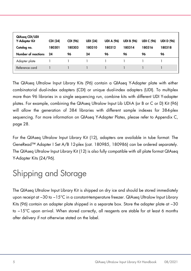| QIAseq CDI/UDI<br>Y-Adapter Kit<br>Catalog no.<br>Number of reactions | <b>CDI (24)</b><br>180301<br>24 | CDI (96)<br>180303<br>96 | <b>UDI (24)</b><br>180310<br>24 | <b>UDI A (96)</b><br>180312<br>96 | <b>UDI B (96)</b><br>180314<br>96 | <b>UDI C (96)</b><br>180316<br>96 | <b>UDI D (96)</b><br>180318<br>96 |
|-----------------------------------------------------------------------|---------------------------------|--------------------------|---------------------------------|-----------------------------------|-----------------------------------|-----------------------------------|-----------------------------------|
| Adapter plate                                                         |                                 |                          |                                 |                                   |                                   |                                   |                                   |
| Reference card                                                        |                                 |                          |                                 |                                   |                                   |                                   |                                   |

The QIAseq Ultralow Input Library Kits (96) contain a QIAseq Y-Adapter plate with either combinatorial dual-index adapters (CDI) or unique dual-index adapters (UDI). To multiplex more than 96 libraries in a single sequencing run, combine kits with different UDI Y-adapter plates. For example, combining the QIAseq Ultralow Input Lib UDI-A (or B or C or D) Kit (96) will allow the generation of 384 libraries with different sample indexes for 384-plex sequencing. For more information on QIAseq Y-Adapter Plates, please refer to Appendix C, page [28.](#page-27-0)

For the QIAseq Ultralow Input Library Kit (12), adapters are available in tube format: The GeneRead™ Adapter I Set A/B 12-plex (cat. 180985, 180986) can be ordered separately. The QIAseq Ultralow Input Library Kit (12) is also fully compatible with all plate format QIAseq Y-Adapter Kits (24/96).

# <span id="page-4-0"></span>Shipping and Storage

The QIAseq Ultralow Input Library Kit is shipped on dry ice and should be stored immediately upon receipt at −30 to −15°C in a constant-temperature freezer. QIAseq Ultralow Input Library Kits (96) contain an adapter plate shipped in a separate box. Store the adapter plate at −30 to −15°C upon arrival. When stored correctly, all reagents are stable for at least 6 months after delivery if not otherwise stated on the label.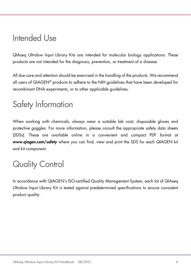### <span id="page-5-0"></span>Intended Use

QIAseq Ultralow Input Library Kits are intended for molecular biology applications. These products are not intended for the diagnosis, prevention, or treatment of a disease.

All due care and attention should be exercised in the handling of the products. We recommend all users of QIAGEN® products to adhere to the NIH guidelines that have been developed for recombinant DNA experiments, or to other applicable guidelines.

### <span id="page-5-1"></span>Safety Information

When working with chemicals, always wear a suitable lab coat, disposable gloves and protective goggles. For more information, please consult the appropriate safety data sheets (SDSs). These are available online in a convenient and compact PDF format at www.qiagen.com/safety where you can find, view and print the SDS for each QIAGEN kit and kit component.

# <span id="page-5-2"></span>Quality Control

In accordance with QIAGEN's ISO-certified Quality Management System, each lot of QIAseq Ultralow Input Library Kit is tested against predetermined specifications to ensure consistent product quality.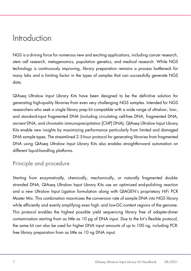### <span id="page-6-0"></span>Introduction

NGS is a driving force for numerous new and exciting applications, including cancer research, stem cell research, metagenomics, population genetics, and medical research. While NGS technology is continuously improving, library preparation remains a process bottleneck for many labs and a limiting factor in the types of samples that can successfully generate NGS data.

QIAseq Ultralow Input Library Kits have been designed to be the definitive solution for generating high-quality libraries from even very challenging NGS samples. Intended for NGS researchers who seek a single library prep kit compatible with a wide range of ultralow-, low-, and standard-input fragmented DNA (including circulating cell-free DNA, fragmented DNA, ancient DNA, and chromatin immunoprecipitation [ChIP] DNA), QIAseq Ultralow Input Library Kits enable new insights by maximizing performance particularly from limited and damaged DNA sample types. The streamlined 2.5-hour protocol for generating libraries from fragmented DNA using QIAseq Ultralow Input Library Kits also enables straightforward automation on different liquid-handling platforms.

### <span id="page-6-1"></span>Principle and procedure

Starting from enzymatically, chemically, mechanically, or naturally fragmented doublestranded DNA, QIAseq Ultralow Input Library Kits use an optimized end-polishing reaction and a new Ultralow Input Ligation formulation along with QIAGEN's proprietary HiFi PCR Master Mix. This combination maximizes the conversion rate of sample DNA into NGS library while efficiently and evenly amplifying even high- and low-GC-content regions of the genome. This protocol enables the highest possible yield sequencing library free of adapter-dimer contamination starting from as little as 10 pg of DNA input. Due to the kit's flexible protocol, the same kit can also be used for higher DNA input amounts of up to 100 ng, including PCRfree library preparation from as little as 10 ng DNA input.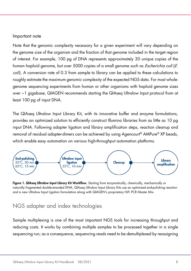#### Important note

Note that the genomic complexity necessary for a given experiment will vary depending on the genome size of the organism and the fraction of that genome included in the target region of interest. For example, 100 pg of DNA represents approximately 30 unique copies of the human haploid genome, but over 5000 copies of a small genome such as *Escherichia coli* (E. coli). A conversion rate of 0.3 from sample to library can be applied to these calculations to roughly estimate the maximum genomic complexity of the expected NGS data. For most wholegenome sequencing experiments from human or other organisms with haploid genome sizes over ~1 gigabase, QIAGEN recommends starting the QIAseq Ultralow Input protocol from at least 100 pg of input DNA.

The QIAseq Ultralow Input Library Kit, with its innovative buffer and enzyme formulations, provides an optimized solution to efficiently construct Illumina libraries from as little as 10 pg input DNA. Following adapter ligation and library amplification steps, reaction cleanup and removal of residual adapter-dimers can be achieved by using Agencourt® AMPure® XP beads, which enable easy automation on various high-throughput automation platforms.



Figure 1. QIAseq Ultralow Input Library Kit Workflow. Starting from enzymatically, chemically, mechanically or naturally fragmented double-stranded DNA, QIAseq Ultralow Input Library Kits use an optimized end-polishing reaction and a new Ultralow Input Ligation formulation along with QIAGEN's proprietary HiFi PCR Master Mix.

### <span id="page-7-0"></span>NGS adapter and index technologies

Sample multiplexing is one of the most important NGS tools for increasing throughput and reducing costs. It works by combining multiple samples to be processed together in a single sequencing run; as a consequence, sequencing reads need to be demultiplexed by reassigning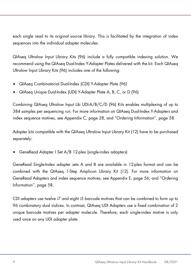each single read to its original source library. This is facilitated by the integration of index sequences into the individual adapter molecules.

QIAseq Ultralow Input Library Kits (96) include a fully compatible indexing solution. We recommend using the QIAseq Dual-Index Y-Adapter Plates delivered with the kit. Each QIAseq Ultralow Input Library Kits (96) includes one of the following:

- QIAseq Combinatorial Dual-Index (CDI) Y-Adapter Plate (96)
- QIAseq Unique Dual-Index (UDI) Y-Adapter Plate A, B, C, or D (96)

Combining QIAseq Ultralow Input Lib UDI-A/B/C/D (96) Kits enables multiplexing of up to 384 samples per sequencing run. For more information on QIAseq Dual-Index Y-Adapters and index sequence motives, see Appendix C, page [28,](#page-27-0) and "Ordering Information", page [58.](#page-57-0)

Adapter kits compatible with the QIAseq Ultralow Input Library Kit (12) have to be purchased separately:

GeneRead Adapter I Set A/B 12-plex (single-index adapters)

GeneRead Single-Index adapter sets A and B are available in 12-plex format and can be combined with the QIAseq 1-Step Amplicon Library Kit (12). For more information on GeneRead Adapters and index sequence motives, see Appendix E, page [56,](#page-55-0) and "Ordering Information", page [58.](#page-57-0)

CDI adapters use twelve i7 and eight i5 barcode motives that can be combined to form up to 96 combinatory dual indices. In contrast, QIAseq UDI Adapters use a fixed combination of 2 unique barcode motives per adapter molecule. Therefore, each single-index motive is only used once on any UDI adapter plate.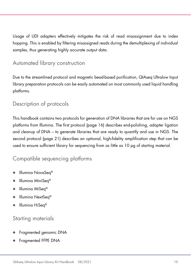Usage of UDI adapters effectively mitigates the risk of read misassignment due to index hopping. This is enabled by filtering misassigned reads during the demultiplexing of individual samples, thus generating highly accurate output data.

### <span id="page-9-0"></span>Automated library construction

Due to the streamlined protocol and magnetic bead-based purification, QIAseq Ultralow Input library preparation protocols can be easily automated on most commonly used liquid handling platforms.

### <span id="page-9-1"></span>Description of protocols

This handbook contains two protocols for generation of DNA libraries that are for use on NGS platforms from Illumina. The first protocol (page 16) describes end-polishing, adapter ligation and cleanup of DNA – to generate libraries that are ready to quantify and use in NGS. The second protocol (page 21) describes an optional, high-fidelity amplification step that can be used to ensure sufficient library for sequencing from as little as 10 pg of starting material.

### <span id="page-9-2"></span>Compatible sequencing platforms

- Illumina NovaSeq®
- Illumina MiniSeq<sup>®</sup>
- Illumina MiSeq®
- Illumina NextSeq<sup>®</sup>
- Illumina HiSeq®

### <span id="page-9-3"></span>Starting materials

- Fragmented genomic DNA
- Fragmented FFPE DNA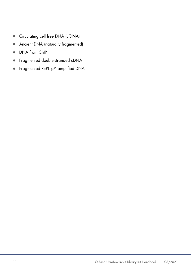- Circulating cell free DNA (cfDNA)
- Ancient DNA (naturally fragmented)
- DNA from ChIP
- **•** Fragmented double-stranded cDNA
- Fragmented REPLI-g®–amplified DNA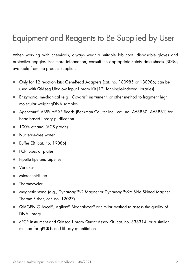## <span id="page-11-0"></span>Equipment and Reagents to Be Supplied by User

When working with chemicals, always wear a suitable lab coat, disposable gloves and protective goggles. For more information, consult the appropriate safety data sheets (SDSs), available from the product supplier.

- Only for 12 reaction kits: GeneRead Adapters (cat. no. 180985 or 180986; can be used with QIAseq Ultralow Input Library Kit [12] for single-indexed libraries)
- Enzymatic, mechanical (e.g., Covaris® instrument) or other method to fragment high molecular weight gDNA samples
- Agencourt® AMPure® XP Beads (Beckman Coulter Inc., cat. no. A63880, A63881) for bead-based library purification
- 100% ethanol (ACS grade)
- Nuclease-free water
- Buffer EB (cat. no. 19086)
- PCR tubes or plates
- Pipette tips and pipettes
- Vortexer
- Microcentrifuge
- Thermocycler
- Magnetic stand (e.g., DynaMag™-2 Magnet or DynaMag™-96 Side Skirted Magnet, Thermo Fisher, cat. no. 12027)
- QIAGEN QIAxcel®, Agilent® Bioanalyzer® or similar method to assess the quality of DNA library
- qPCR instrument and QIAseq Library Quant Assay Kit (cat. no. 333314) or a similar method for qPCR-based library quantitation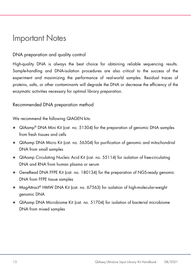### <span id="page-12-0"></span>Important Notes

### <span id="page-12-1"></span>DNA preparation and quality control

High-quality DNA is always the best choice for obtaining reliable sequencing results. Sample-handling and DNA-isolation procedures are also critical to the success of the experiment and maximizing the performance of real-world samples. Residual traces of proteins, salts, or other contaminants will degrade the DNA or decrease the efficiency of the enzymatic activities necessary for optimal library preparation.

### Recommended DNA preparation method

We recommend the following QIAGEN kits:

- QIAamp® DNA Mini Kit (cat. no. 51304) for the preparation of genomic DNA samples from fresh tissues and cells
- QIAamp DNA Micro Kit (cat. no. 56304) for purification of genomic and mitochondrial DNA from small samples
- QIAamp Circulating Nucleic Acid Kit (cat. no. 55114) for isolation of free-circulating DNA and RNA from human plasma or serum
- GeneRead DNA FFPE Kit (cat. no. 180134) for the preparation of NGS-ready genomic DNA from FFPE tissue samples
- MagAttract® HMW DNA Kit (cat. no. 67563) for isolation of high-molecular-weight genomic DNA
- QIAamp DNA Microbiome Kit (cat. no. 51704) for isolation of bacterial microbiome DNA from mixed samples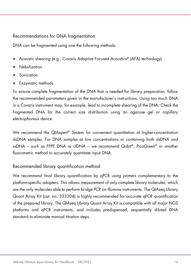#### Recommendations for DNA fragmentation

DNA can be fragmented using one the following methods:

- Acoustic shearing (e.g., Covaris Adaptive Focused Acoustics® (AFA) technology)
- Nebulization
- Sonication
- Enzymatic methods

To ensure complete fragmentation of the DNA that is needed for library preparation, follow the recommended parameters given in the manufacturer's instructions. Using too much DNA in a Covaris instrument may, for example, lead to incomplete shearing of the DNA. Check the fragmented DNA for the correct size distribution using an agarose gel or capillary electrophoresis device.

We recommend the QIAxpert® System for convenient quantitation of higher-concentration dsDNA samples. For DNA samples at low concentrations or containing both dsDNA and ssDNA – such as FFPE DNA or cfDNA – we recommend Qubit®, PicoGreen® or another fluorometric method to accurately quantitate input DNA.

### Recommended library quantification method

We recommend final library quantification by qPCR using primers complementary to the platform-specific adapters. This allows measurement of only complete library molecules, which are the only molecules able to perform bridge PCR on Illumina instruments. The QIAseq Library Quant Array Kit (cat. no. 333304) is highly recommended for accurate qPCR quantification of the prepared library. The QIAseq Library Quant Array Kit is compatible with all major NGS platforms and qPCR instruments, and includes predispensed, sequentially diluted DNA standard to eliminate manual titration steps.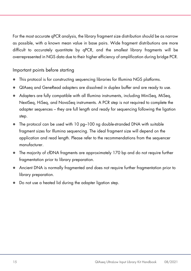For the most accurate qPCR analysis, the library fragment size distribution should be as narrow as possible, with a known mean value in base pairs. Wide fragment distributions are more difficult to accurately quantitate by qPCR, and the smallest library fragments will be overrepresented in NGS data due to their higher efficiency of amplification during bridge PCR.

Important points before starting

- This protocol is for constructing sequencing libraries for Illumina NGS platforms.
- QIAseq and GeneRead adapters are dissolved in duplex buffer and are ready to use.
- Adapters are fully compatible with all Illumina instruments, including MiniSeq, MiSeq, NextSeq, HiSeq, and NovaSeq instruments. A PCR step is not required to complete the adapter sequences – they are full length and ready for sequencing following the ligation step.
- The protocol can be used with 10 pg–100 ng double-stranded DNA with suitable fragment sizes for Illumina sequencing. The ideal fragment size will depend on the application and read length. Please refer to the recommendations from the sequencer manufacturer.
- The majority of cfDNA fragments are approximately 170 bp and do not require further fragmentation prior to library preparation.
- Ancient DNA is normally fragmented and does not require further fragmentation prior to library preparation.
- Do not use a heated lid during the adapter ligation step.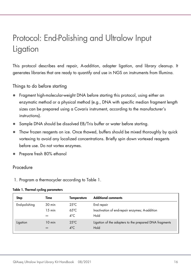# <span id="page-15-0"></span>Protocol: End-Polishing and Ultralow Input **Ligation**

This protocol describes end repair, A-addition, adapter ligation, and library cleanup. It generates libraries that are ready to quantify and use in NGS on instruments from Illumina.

Things to do before starting

- Fragment high-molecular-weight DNA before starting this protocol, using either an enzymatic method or a physical method (e.g., DNA with specific median fragment length sizes can be prepared using a Covaris instrument, according to the manufacturer's instructions).
- Sample DNA should be dissolved EB/Tris buffer or water before starting.
- Thaw frozen reagents on ice. Once thawed, buffers should be mixed thoroughly by quick vortexing to avoid any localized concentrations. Briefly spin down vortexed reagents before use. Do not vortex enzymes.
- Prepare fresh 80% ethanol

#### Procedure

1. Program a thermocycler according to [Table 1.](#page-15-1)

#### <span id="page-15-1"></span>Table 1. Thermal cycling parameters

| <b>Step</b>   | Time             | <b>Temperature</b> | <b>Additional comments</b>                             |
|---------------|------------------|--------------------|--------------------------------------------------------|
| End-polishing | $30 \text{ min}$ | $25^{\circ}$ C     | End repair                                             |
|               | $15 \text{ min}$ | $65^{\circ}$ C     | Inactivation of end-repair enzymes; A-addition         |
|               | $\infty$         | $4^{\circ}$ C      | Hold                                                   |
| Ligation      | $10 \text{ min}$ | $25^{\circ}$ C     | Ligation of the adapters to the prepared DNA fragments |
|               | $\infty$         | $4^{\circ}$ C      | Hold                                                   |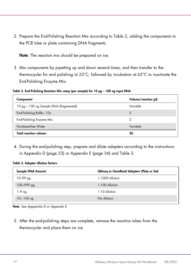2. Prepare the End-Polishing Reaction Mix according to [Table 2,](#page-16-0) adding the components to the PCR tube or plate containing DNA fragments.

Note: The reaction mix should be prepared on ice.

3. Mix components by pipetting up and down several times, and then transfer to the thermocycler for end polishing at 25°C, followed by incubation at 65°C to inactivate the End-Polishing Enzyme Mix.

<span id="page-16-0"></span>Table 2. End-Polishing Reaction Mix setup (per sample) for 10 pg – 100 ng input DNA

| Component                              | Volume/reaction (µl) |
|----------------------------------------|----------------------|
| 10 pg – 100 ng Sample DNA (fragmented) | Variable             |
| End-Polishing Buffer, 10x              | 5                    |
| End-Polishing Enzyme Mix               | 2                    |
| Nuclease-free Water                    | Variable             |
| <b>Total reaction volume</b>           | 50                   |

4. During the end-polishing step, prepare and dilute adapters according to the instructions in Appendix D (page [53\)](#page-52-0) or Appendix E (page [56\)](#page-55-0) and [Table 3.](#page-16-1)

<span id="page-16-1"></span>Table 3. Adapter dilution factors

| QIAseg or GeneRead Adapters (Plate or Set) |
|--------------------------------------------|
| $1:1000$ dilution                          |
| $1:100$ dilution                           |
| $1:10$ dilution                            |
| No dilution                                |
|                                            |

Note: See Apppendix D or Appendix E.

5. After the end-polishing steps are complete, remove the reaction tubes from the thermocycler and place them on ice.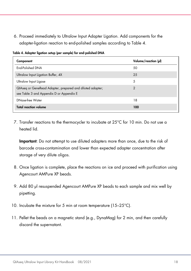6. Proceed immediately to Ultralow Input Adapter Ligation. Add components for the adapter-ligation reaction to end-polished samples according to [Table 4.](#page-17-0)

| Component                                                                                             | Volume/reaction (µl) |
|-------------------------------------------------------------------------------------------------------|----------------------|
| End-Polished DNA                                                                                      | 50                   |
| Ultralow Input Ligation Buffer, 4X                                                                    | 25                   |
| Ultralow Input Ligase                                                                                 | 5                    |
| QIAseq or GeneRead Adapter, prepared and diluted adapter;<br>see Table 3 and Appendix D or Appendix E | っ                    |
| DNase-free Water                                                                                      | 18                   |
| <b>Total reaction volume</b>                                                                          | 100                  |

<span id="page-17-0"></span>Table 4. Adapter ligation setup (per sample) for end-polished DNA

7. Transfer reactions to the thermocycler to incubate at 25°C for 10 min. Do not use a heated lid.

Important: Do not attempt to use diluted adapters more than once, due to the risk of barcode cross-contamination and lower than expected adapter concentration after storage of very dilute oligos.

- 8. Once ligation is complete, place the reactions on ice and proceed with purification using Agencourt AMPure XP beads.
- 9. Add 80 µl resuspended Agencourt AMPure XP beads to each sample and mix well by pipetting.
- <span id="page-17-1"></span>10. Incubate the mixture for 5 min at room temperature (15–25°C).
- 11. Pellet the beads on a magnetic stand (e.g., DynaMag) for 2 min, and then carefully discard the supernatant.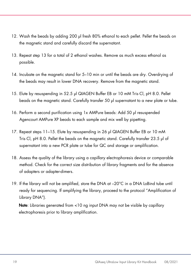- <span id="page-18-0"></span>12. Wash the beads by adding 200 µl fresh 80% ethanol to each pellet. Pellet the beads on the magnetic stand and carefully discard the supernatant.
- 13. Repeat step [13](#page-18-0) for a total of 2 ethanol washes. Remove as much excess ethanol as possible.
- <span id="page-18-1"></span>14. Incubate on the magnetic stand for 5–10 min or until the beads are dry. Overdrying of the beads may result in lower DNA recovery. Remove from the magnetic stand.
- 15. Elute by resuspending in 52.5 µl QIAGEN Buffer EB or 10 mM Tris·Cl, pH 8.0. Pellet beads on the magnetic stand. Carefully transfer 50 µl supernatant to a new plate or tube.
- 16. Perform a second purification using 1x AMPure beads: Add 50 µl resuspended Agencourt AMPure XP beads to each sample and mix well by pipetting.
- 17. Repeat steps [11](#page-17-1)[–15.](#page-18-1) Elute by resuspending in 26 µl QIAGEN Buffer EB or 10 mM Tris·Cl, pH 8.0. Pellet the beads on the magnetic stand. Carefully transfer 23.5 µl of supernatant into a new PCR plate or tube for QC and storage or amplification.
- <span id="page-18-2"></span>18. Assess the quality of the library using a capillary electrophoresis device or comparable method. Check for the correct size distribution of library fragments and for the absence of adapters or adapter-dimers.
- 19. If the library will not be amplified, store the DNA at –20°C in a DNA LoBind tube until ready for sequencing. If amplifying the library, proceed to the protocol "Amplification of Library DNA").

Note: Libraries generated from <10 ng input DNA may not be visible by capillary electrophoresis prior to library amplification.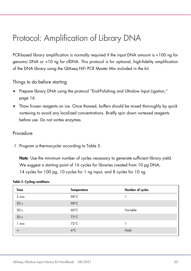## <span id="page-19-0"></span>Protocol: Amplification of Library DNA

PCR-based library amplification is normally required if the input DNA amount is <100 ng for genomic DNA or <10 ng for cfDNA. This protocol is for optional, high-fidelity amplification of the DNA library using the QIAseq HiFi PCR Master Mix included in the kit.

Things to do before starting

- Prepare library DNA using the protocol "End-Polishing and Ultralow Input Ligation," page [16.](#page-15-0)
- Thaw frozen reagents on ice. Once thawed, buffers should be mixed thoroughly by quick vortexing to avoid any localized concentrations. Briefly spin down vortexed reagents before use. Do not vortex enzymes.

#### Procedure

1. Program a thermocycler according to [Table 5.](#page-19-1)

Note: Use the minimum number of cycles necessary to generate sufficient library yield. We suggest a starting point of 16 cycles for libraries created from 10 pg DNA, 14 cycles for 100 pg, 10 cycles for 1 ng input, and 8 cycles for 10 ng.

#### <span id="page-19-1"></span>Table 5. Cycling conditions

| <b>Temperature</b> | Number of cycles |
|--------------------|------------------|
| 98°C               |                  |
| $98^{\circ}$ C     |                  |
| $60^{\circ}$ C     | Variable         |
| $72^{\circ}$ C     |                  |
| $72^{\circ}$ C     |                  |
| $4^{\circ}$ C      | Hold             |
|                    |                  |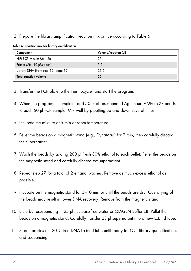2. Prepare the library amplification reaction mix on ice according to [Table 6.](#page-20-0)

| Component                           | Volume/reaction (µl) |
|-------------------------------------|----------------------|
| HiFi PCR Master Mix, 2x             | 25                   |
| Primer Mix (10 µM each)             | 1.5                  |
| Library DNA (from step 19, page 19) | 23.5                 |
| <b>Total reaction volume</b>        | 50                   |

<span id="page-20-0"></span>Table 6. Reaction mix for library amplification

- 3. Transfer the PCR plate to the thermocycler and start the program.
- 4. When the program is complete, add 50 µl of resuspended Agencourt AMPure XP beads to each 50 µl PCR sample. Mix well by pipetting up and down several times.
- 5. Incubate the mixture at 5 min at room temperature.
- 6. Pellet the beads on a magnetic stand (e.g., DynaMag) for 2 min, then carefully discard the supernatant.
- <span id="page-20-1"></span>7. Wash the beads by adding 200 µl fresh 80% ethanol to each pellet. Pellet the beads on the magnetic stand and carefully discard the supernatant.
- 8. Repeat step [27](#page-20-1) for a total of 2 ethanol washes. Remove as much excess ethanol as possible.
- 9. Incubate on the magnetic stand for 5–10 min or until the beads are dry. Overdrying of the beads may result in lower DNA recovery. Remove from the magnetic stand.
- 10. Elute by resuspending in 25 µl nuclease-free water or QIAGEN Buffer EB. Pellet the beads on a magnetic stand. Carefully transfer 23 µl supernatant into a new LoBind tube.
- 11. Store libraries at –20°C in a DNA Lo-bind tube until ready for QC, library quantification, and sequencing.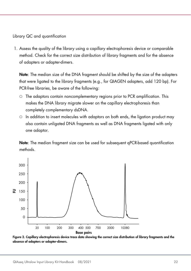Library QC and quantification

1. Assess the quality of the library using a capillary electrophoresis device or comparable method. Check for the correct size distribution of library fragments and for the absence of adapters or adapter-dimers.

Note: The median size of the DNA fragment should be shifted by the size of the adapters that were ligated to the library fragments (e.g., for QIAGEN adapters, add 120 bp). For PCR-free libraries, be aware of the following:

- $\circ$  The adaptors contain noncomplementary regions prior to PCR amplification. This makes the DNA library migrate slower on the capillary electrophoresis than completely complementary dsDNA.
- $\circ$  In addition to insert molecules with adaptors on both ends, the ligation product may also contain unligated DNA fragments as well as DNA fragments ligated with only one adaptor.

Note: The median fragment size can be used for subsequent qPCR-based quantification methods.



Figure 2. Capillary electrophoresis device trace data showing the correct size distribution of library fragments and the absence of adapters or adapter-dimers.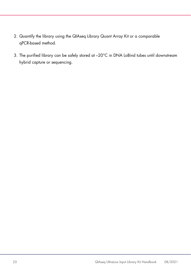- 2. Quantify the library using the QIAseq Library Quant Array Kit or a comparable qPCR-based method.
- 3. The purified library can be safely stored at –20°C in DNA LoBind tubes until downstream hybrid capture or sequencing.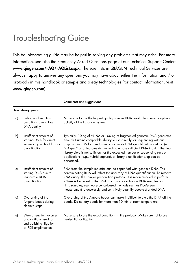### <span id="page-23-0"></span>Troubleshooting Guide

This troubleshooting guide may be helpful in solving any problems that may arise. For more information, see also the Frequently Asked Questions page at our Technical Support Center: www.qiagen.com/FAQ/FAQList.aspx. The scientists in QIAGEN Technical Services are always happy to answer any questions you may have about either the information and / or protocols in this handbook or sample and assay technologies (for contact information, visit www.qiagen.com).

Comments and suggestions

|    | Low library yields                                                                                   |                                                                                                                                                                                                                                                                                                                                                                                                                                                                                                     |
|----|------------------------------------------------------------------------------------------------------|-----------------------------------------------------------------------------------------------------------------------------------------------------------------------------------------------------------------------------------------------------------------------------------------------------------------------------------------------------------------------------------------------------------------------------------------------------------------------------------------------------|
| a) | Suboptimal reaction<br>conditions due to low<br>DNA quality                                          | Make sure to use the highest quality sample DNA available to ensure optimal<br>activity of the library enzymes.                                                                                                                                                                                                                                                                                                                                                                                     |
| b) | Insufficient amount of<br>starting DNA for direct<br>sequencing without library<br>amplification     | Typically, 10 ng of cfDNA or 100 ng of fragmented genomic DNA generates<br>enough Illumina-compatible library to use directly for sequencing without<br>amplification. Make sure to use an accurate DNA quantification method (e.g.,<br>QIAxpert® or a fluorometric method) to ensure sufficient DNA input. If the final<br>library yield is not sufficient for the expected number of sequencing runs or<br>applications (e.g., hybrid capture), a library amplification step can be<br>performed. |
| c) | Insufficient amount of<br>starting DNA due to<br>inaccurate DNA<br>quantification                    | RNA from the sample material can be copurified with genomic DNA. This<br>contaminating RNA will affect the accuracy of DNA quantification. To remove<br>RNA during the sample preparation protocol, it is recommended to perform<br>RNase A treatment of the DNA. For low-concentration DNA samples and<br>FFPE samples, use fluorescence-based methods such as PicoGreen<br>measurement to accurately and sensitively quantify double-stranded DNA.                                                |
| d) | Overdrying of the<br>Ampure beads during<br>cleanup steps                                            | Overdrying of the Ampure beads can make it difficult to elute the DNA off the<br>beads. Do not dry beads for more than 10 min at room temperature.                                                                                                                                                                                                                                                                                                                                                  |
| e) | Wrong reaction volumes<br>or conditions used for<br>end polishing, ligation,<br>or PCR amplification | Make sure to use the exact conditions in the protocol. Make sure not to use<br>heated lid for ligation.                                                                                                                                                                                                                                                                                                                                                                                             |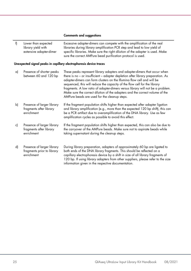#### Comments and suggestions

| f) | Lower than expected<br>library yield with<br>extensive adapter-dimer   | Excessive adapter-dimers can compete with the amplification of the real<br>libraries during library amplification PCR step and lead to low yield of<br>specific libraries. Make sure the right dilution of the adapter is used. Make<br>sure the correct AMPure bead purification protocol is used.                                                                                                                                                                                                                                   |  |  |  |  |  |  |  |  |  |
|----|------------------------------------------------------------------------|---------------------------------------------------------------------------------------------------------------------------------------------------------------------------------------------------------------------------------------------------------------------------------------------------------------------------------------------------------------------------------------------------------------------------------------------------------------------------------------------------------------------------------------|--|--|--|--|--|--|--|--|--|
|    | Unexpected signal peaks in capillary electrophoresis device traces     |                                                                                                                                                                                                                                                                                                                                                                                                                                                                                                                                       |  |  |  |  |  |  |  |  |  |
| a) | Presence of shorter peaks<br>between 60 and 120 bp                     | These peaks represent library adapters and adapter-dimers that occur when<br>there is no - or insufficient - adapter depletion after library preparation. As<br>adapter-dimers can form clusters on the Illumina flow cell and will be<br>sequenced, this will reduce the capacity of the flow cell for the library<br>fragments. A low ratio of adapter-dimers versus library will not be a problem.<br>Make sure the correct dilution of the adapters and the correct volume of the<br>AMPure beads are used for the cleanup steps. |  |  |  |  |  |  |  |  |  |
| b) | Presence of larger library<br>fragments after library<br>enrichment    | If the fragment population shifts higher than expected after adapter ligation<br>and library amplification (e.g., more than the expected 120 bp shift), this can<br>be a PCR artifact due to overamplification of the DNA library. Use as few<br>amplification cycles as possible to avoid this effect.                                                                                                                                                                                                                               |  |  |  |  |  |  |  |  |  |
| c) | Presence of larger library<br>fragments after library<br>enrichment    | If the fragment population shifts higher than expected, this can also be due to<br>the carryover of the AMPure beads. Make sure not to aspirate beads while<br>taking supernatant during the cleanup steps.                                                                                                                                                                                                                                                                                                                           |  |  |  |  |  |  |  |  |  |
| d) | Presence of larger library<br>fragments prior to library<br>enrichment | During library preparation, adapters of approximately 60 bp are ligated to<br>both ends of the DNA library fragments. This should be reflected on a<br>capillary electrophoresis device by a shift in size of all library fragments of<br>120 bp. If using library adapters from other suppliers, please refer to the size<br>information given in the respective documentation.                                                                                                                                                      |  |  |  |  |  |  |  |  |  |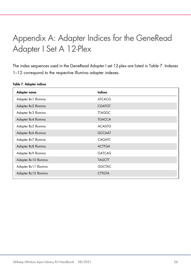# <span id="page-25-0"></span>Appendix A: Adapter Indices for the GeneRead Adapter I Set A 12-Plex

The index sequences used in the GeneRead Adapter I set 12-plex are listed i[n Table 7.](#page-25-1) Indexes 1–12 correspond to the respective Illumina adapter indexes.

| Adapter name          | <b>Indices</b> |
|-----------------------|----------------|
| Adapter Bc1 Illumina  | <b>ATCACG</b>  |
| Adapter Bc2 Illumina  | <b>CGATGT</b>  |
| Adapter Bc3 Illumina  | <b>TTAGGC</b>  |
| Adapter Bc4 Illumina  | <b>TGACCA</b>  |
| Adapter Bc5 Illumina  | <b>ACAGTG</b>  |
| Adapter Bc6 Illumina  | <b>GCCAAT</b>  |
| Adapter Bc7 Illumina  | CAGATC         |
| Adapter Bc8 Illumina  | <b>ACTTGA</b>  |
| Adapter Bc9 Illumina  | <b>GATCAG</b>  |
| Adapter Bc10 Illumina | <b>TAGCTT</b>  |
| Adapter Bc11 Illumina | <b>GGCTAC</b>  |
| Adapter Bc12 Illumina | <b>CTTGTA</b>  |

<span id="page-25-1"></span>Table 7. Adapter indices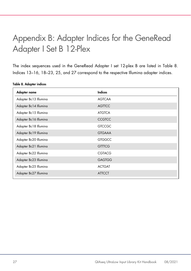# <span id="page-26-0"></span>Appendix B: Adapter Indices for the GeneRead Adapter I Set B 12-Plex

The index sequences used in the GeneRead Adapter I set 12-plex B are listed in [Table 8.](#page-26-1) Indices 13–16, 18–23, 25, and 27 correspond to the respective Illumina adapter indices.

<span id="page-26-1"></span>Table 8. Adapter indices

| Adapter name          | <b>Indices</b> |
|-----------------------|----------------|
| Adapter Bc13 Illumina | <b>AGTCAA</b>  |
| Adapter Bc14 Illumina | <b>AGTTCC</b>  |
| Adapter Bc15 Illumina | <b>ATGTCA</b>  |
| Adapter Bc16 Illumina | <b>CCGTCC</b>  |
| Adapter Bc18 Illumina | <b>GTCCGC</b>  |
| Adapter Bc19 Illumina | <b>GTGAAA</b>  |
| Adapter Bc20 Illumina | <b>GTGGCC</b>  |
| Adapter Bc21 Illumina | <b>GTTTCG</b>  |
| Adapter Bc22 Illumina | <b>CGTACG</b>  |
| Adapter Bc23 Illumina | <b>GAGTGG</b>  |
| Adapter Bc25 Illumina | <b>ACTGAT</b>  |
| Adapter Bc27 Illumina | <b>ATTCCT</b>  |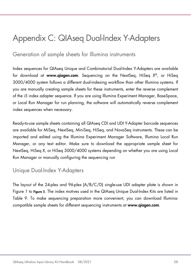## <span id="page-27-0"></span>Appendix C: QIAseq Dual-Index Y-Adapters

### <span id="page-27-1"></span>Generation of sample sheets for Illumina instruments

Index sequences for QIAseq Unique and Combinatorial Dual-Index Y-Adapters are available for download at www.qiagen.com. Sequencing on the NextSeq, HiSeq  $X^{\circledast}$ , or HiSeq 3000/4000 system follows a different dual-indexing workflow than other Illumina systems. If you are manually creating sample sheets for these instruments, enter the reverse complement of the i5 index adapter sequence. If you are using Illumina Experiment Manager, BaseSpace, or Local Run Manager for run planning, the software will automatically reverse complement index sequences when necessary.

Ready-to-use sample sheets containing all QIAseq CDI and UDI Y-Adapter barcode sequences are available for MiSeq, NextSeq, MiniSeq, HiSeq, and NovaSeq instruments. These can be imported and edited using the Illumina Experiment Manager Software, Illumina Local Run Manager, or any text editor. Make sure to download the appropriate sample sheet for NextSeq, HiSeq X, or HiSeq 3000/4000 systems depending on whether you are using Local Run Manager or manually configuring the sequencing run

### <span id="page-27-2"></span>Unique Dual-Index Y-Adapters

The layout of the 24-plex and 96-plex (A/B/C/D) single-use UDI adapter plate is shown in [Figure 1](#page-28-0) to [Figure 5](#page-30-0). The index motives used in the QIAseq Unique Dual-Index Kits are listed in [Table 9.](#page-31-0) To make sequencing preparation more convenient, you can download Illuminacompatible sample sheets for different sequencing instruments at www.qiagen.com.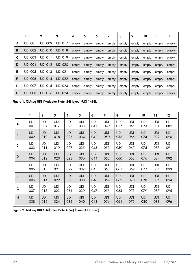|   |                | $\mathbf 2$    | 3              | 4     | 5     | 6     | 7     | 8     | 9     | 10    | 11    | 12    |
|---|----------------|----------------|----------------|-------|-------|-------|-------|-------|-------|-------|-------|-------|
| A | <b>UDI 001</b> | <b>UDI 009</b> | <b>UDI 017</b> | empty | empty | empty | empty | empty | empty | empty | empty | empty |
| B | <b>UDI 002</b> | <b>UDI 010</b> | <b>UDI 018</b> | empty | empty | empty | empty | empty | empty | empty | empty | empty |
| C | <b>UDI 003</b> | <b>UDI 011</b> | <b>UDI 019</b> | empty | empty | empty | empty | empty | empty | empty | empty | empty |
| D | <b>UDI 004</b> | <b>UDI 012</b> | <b>UDI 020</b> | empty | empty | empty | empty | empty | empty | empty | empty | empty |
| E | <b>UDI 005</b> | <b>UDI 013</b> | <b>UDI 021</b> | empty | empty | empty | empty | empty | empty | empty | empty | empty |
| F | <b>UDI 006</b> | <b>UDI 014</b> | <b>UDI 022</b> | empty | empty | empty | empty | empty | empty | empty | empty | empty |
| G | <b>UDI 007</b> | <b>UDI 015</b> | <b>UDI 023</b> | empty | empty | empty | empty | empty | empty | empty | empty | empty |
| н | <b>UDI 008</b> | <b>UDI 016</b> | <b>UDI 024</b> | empty | empty | empty | empty | empty | empty | empty | empty | empty |

<span id="page-28-0"></span>Figure 1. QIAseq UDI Y-Adapter Plate (24) layout (UDI 1–24).

|   | ı          | $\mathbf{2}$ | 3          | 4          | 5          | 6          | 7          | 8          | 9          | 10         | 11         | 12         |
|---|------------|--------------|------------|------------|------------|------------|------------|------------|------------|------------|------------|------------|
| A | <b>UDI</b> | <b>UDI</b>   | <b>UDI</b> | <b>UDI</b> | <b>UDI</b> | UDI        | <b>UDI</b> | <b>UDI</b> | <b>UDI</b> | <b>UDI</b> | <b>UDI</b> | UDI        |
|   | 001        | 009          | 017        | 025        | 033        | 041        | 049        | 057        | 065        | 073        | 081        | 089        |
| B | <b>UDI</b> | <b>UDI</b>   | <b>UDI</b> | <b>UDI</b> | <b>UDI</b> | <b>UDI</b> | <b>UDI</b> | <b>UDI</b> | <b>UDI</b> | <b>UDI</b> | <b>UDI</b> | <b>UDI</b> |
|   | 002        | 010          | 018        | 026        | 034        | 042        | 050        | 058        | 066        | 074        | 082        | 090        |
| C | <b>UDI</b> | <b>UDI</b>   | <b>UDI</b> | <b>UDI</b> | <b>UDI</b> | <b>UDI</b> | <b>UDI</b> | <b>UDI</b> | <b>UDI</b> | <b>UDI</b> | <b>UDI</b> | UDI        |
|   | 003        | 011          | 019        | 027        | 035        | 043        | 051        | 059        | 067        | 075        | 083        | 091        |
| D | <b>UDI</b> | <b>UDI</b>   | <b>UDI</b> | <b>UDI</b> | <b>UDI</b> | <b>UDI</b> | <b>UDI</b> | <b>UDI</b> | <b>UDI</b> | <b>UDI</b> | <b>UDI</b> | <b>UDI</b> |
|   | 004        | 012          | 020        | 028        | 036        | 044        | 052        | 060        | 068        | 076        | 084        | 092        |
| Е | <b>UDI</b> | <b>UDI</b>   | <b>UDI</b> | <b>UDI</b> | <b>UDI</b> | <b>UDI</b> | <b>UDI</b> | <b>UDI</b> | <b>UDI</b> | <b>UDI</b> | <b>UDI</b> | UDI        |
|   | 005        | 013          | 021        | 029        | 037        | 045        | 053        | 061        | 069        | 077        | 085        | 093        |
| F | <b>UDI</b> | <b>UDI</b>   | <b>UDI</b> | <b>UDI</b> | <b>UDI</b> | <b>UDI</b> | <b>UDI</b> | <b>UDI</b> | <b>UDI</b> | <b>UDI</b> | <b>UDI</b> | <b>UDI</b> |
|   | 006        | 014          | 022        | 030        | 038        | 046        | 054        | 062        | 070        | 078        | 086        | 094        |
| G | <b>UDI</b> | <b>UDI</b>   | <b>UDI</b> | <b>UDI</b> | <b>UDI</b> | <b>UDI</b> | <b>UDI</b> | <b>UDI</b> | <b>UDI</b> | <b>UDI</b> | <b>UDI</b> | UDI        |
|   | 007        | 015          | 023        | 031        | 039        | 047        | 055        | 063        | 071        | 079        | 087        | 095        |
| H | <b>UDI</b> | <b>UDI</b>   | <b>UDI</b> | <b>UDI</b> | <b>UDI</b> | <b>UDI</b> | <b>UDI</b> | <b>UDI</b> | <b>UDI</b> | <b>UDI</b> | <b>UDI</b> | <b>UDI</b> |
|   | 008        | 016          | 024        | 032        | 040        | 048        | 056        | 064        | 072        | 080        | 088        | 096        |

Figure 2. QIAseq UDI Y-Adapter Plate A (96) layout (UDI 1–96).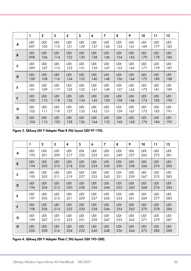|   | 1          | $\mathbf{2}$ | 3          | 4          | 5          | 6          | $\overline{ }$ | 8          | 9          | 10         | 11         | 12         |
|---|------------|--------------|------------|------------|------------|------------|----------------|------------|------------|------------|------------|------------|
| A | <b>UDI</b> | <b>UDI</b>   | <b>UDI</b> | <b>UDI</b> | <b>UDI</b> | <b>UDI</b> | <b>UDI</b>     | UDI        | <b>UDI</b> | <b>UDI</b> | <b>UDI</b> | <b>UDI</b> |
|   | 097        | 105          | 113        | 121        | 129        | 137        | 145            | 153        | 161        | 169        | 177        | 185        |
| B | <b>UDI</b> | <b>UDI</b>   | <b>UDI</b> | <b>UDI</b> | <b>UDI</b> | <b>UDI</b> | <b>UDI</b>     | <b>UDI</b> | <b>UDI</b> | <b>UDI</b> | <b>UDI</b> | <b>UDI</b> |
|   | 098        | 106          | 114        | 122        | 130        | 138        | 146            | 154        | 162        | 170        | 178        | 186        |
| C | <b>UDI</b> | <b>UDI</b>   | <b>UDI</b> | <b>UDI</b> | <b>UDI</b> | <b>UDI</b> | <b>UDI</b>     | UDI        | <b>UDI</b> | <b>UDI</b> | <b>UDI</b> | <b>UDI</b> |
|   | 099        | 107          | 115        | 123        | 131        | 139        | 147            | 155        | 163        | 171        | 179        | 187        |
| D | <b>UDI</b> | <b>UDI</b>   | <b>UDI</b> | <b>UDI</b> | <b>UDI</b> | <b>UDI</b> | <b>UDI</b>     | <b>UDI</b> | <b>UDI</b> | <b>UDI</b> | <b>UDI</b> | <b>UDI</b> |
|   | 100        | 108          | 116        | 124        | 132        | 140        | 148            | 156        | 164        | 172        | 180        | 188        |
| E | <b>UDI</b> | <b>UDI</b>   | <b>UDI</b> | <b>UDI</b> | <b>UDI</b> | <b>UDI</b> | <b>UDI</b>     | UDI        | <b>UDI</b> | <b>UDI</b> | <b>UDI</b> | <b>UDI</b> |
|   | 101        | 109          | 117        | 125        | 133        | 141        | 149            | 157        | 165        | 173        | 181        | 189        |
| F | <b>UDI</b> | <b>UDI</b>   | <b>UDI</b> | <b>UDI</b> | <b>UDI</b> | <b>UDI</b> | <b>UDI</b>     | <b>UDI</b> | <b>UDI</b> | <b>UDI</b> | <b>UDI</b> | <b>UDI</b> |
|   | 102        | 110          | 118        | 126        | 134        | 142        | 150            | 158        | 166        | 174        | 182        | 190        |
| G | <b>UDI</b> | <b>UDI</b>   | <b>UDI</b> | <b>UDI</b> | <b>UDI</b> | <b>UDI</b> | <b>UDI</b>     | UDI        | <b>UDI</b> | <b>UDI</b> | <b>UDI</b> | <b>UDI</b> |
|   | 103        | 111          | 119        | 127        | 135        | 143        | 151            | 159        | 167        | 175        | 183        | 191        |
| н | <b>UDI</b> | <b>UDI</b>   | <b>UDI</b> | <b>UDI</b> | <b>UDI</b> | <b>UDI</b> | <b>UDI</b>     | <b>UDI</b> | <b>UDI</b> | <b>UDI</b> | <b>UDI</b> | <b>UDI</b> |
|   | 104        | 112          | 120        | 128        | 136        | 144        | 152            | 160        | 168        | 176        | 184        | 192        |

Figure 3. QIAseq UDI Y-Adapter Plate B (96) layout (UDI 97–192).

|   | ı          | $\mathbf 2$ | 3          | 4          | 5          | 6          | 7          | 8          | 9          | 10         | 11         | 12         |
|---|------------|-------------|------------|------------|------------|------------|------------|------------|------------|------------|------------|------------|
| A | <b>UDI</b> | <b>UDI</b>  | <b>UDI</b> | <b>UDI</b> | <b>UDI</b> | <b>UDI</b> | <b>UDI</b> | <b>UDI</b> | <b>UDI</b> | <b>UDI</b> | <b>UDI</b> | <b>UDI</b> |
|   | 193        | 201         | 209        | 217        | 225        | 233        | 241        | 249        | 257        | 265        | 273        | 281        |
| B | <b>UDI</b> | <b>UDI</b>  | <b>UDI</b> | <b>UDI</b> | <b>UDI</b> | <b>UDI</b> | <b>UDI</b> | <b>UDI</b> | <b>UDI</b> | <b>UDI</b> | <b>UDI</b> | <b>UDI</b> |
|   | 194        | 202         | 210        | 218        | 226        | 234        | 242        | 250        | 258        | 266        | 274        | 282        |
| C | <b>UDI</b> | <b>UDI</b>  | <b>UDI</b> | <b>UDI</b> | <b>UDI</b> | <b>UDI</b> | <b>UDI</b> | <b>UDI</b> | <b>UDI</b> | <b>UDI</b> | <b>UDI</b> | <b>UDI</b> |
|   | 195        | 203         | 211        | 219        | 227        | 235        | 243        | 251        | 259        | 267        | 275        | 283        |
| D | <b>UDI</b> | <b>UDI</b>  | <b>UDI</b> | <b>UDI</b> | <b>UDI</b> | <b>UDI</b> | <b>UDI</b> | <b>UDI</b> | <b>UDI</b> | <b>UDI</b> | <b>UDI</b> | <b>UDI</b> |
|   | 196        | 204         | 212        | 220        | 228        | 236        | 244        | 252        | 260        | 268        | 276        | 284        |
| E | <b>UDI</b> | <b>UDI</b>  | <b>UDI</b> | <b>UDI</b> | <b>UDI</b> | <b>UDI</b> | <b>UDI</b> | <b>UDI</b> | <b>UDI</b> | <b>UDI</b> | <b>UDI</b> | <b>UDI</b> |
|   | 197        | 205         | 213        | 221        | 229        | 237        | 245        | 253        | 261        | 269        | 277        | 285        |
| F | <b>UDI</b> | <b>UDI</b>  | <b>UDI</b> | <b>UDI</b> | <b>UDI</b> | <b>UDI</b> | <b>UDI</b> | <b>UDI</b> | <b>UDI</b> | <b>UDI</b> | <b>UDI</b> | <b>UDI</b> |
|   | 198        | 206         | 214        | 222        | 230        | 238        | 246        | 254        | 262        | 270        | 278        | 286        |
| G | <b>UDI</b> | <b>UDI</b>  | UDI        | <b>UDI</b> | <b>UDI</b> | UDI        | <b>UDI</b> | <b>UDI</b> | <b>UDI</b> | <b>UDI</b> | <b>UDI</b> | <b>UDI</b> |
|   | 199        | 207         | 215        | 223        | 231        | 239        | 247        | 255        | 263        | 271        | 279        | 287        |
| H | <b>UDI</b> | <b>UDI</b>  | <b>UDI</b> | <b>UDI</b> | <b>UDI</b> | <b>UDI</b> | <b>UDI</b> | <b>UDI</b> | <b>UDI</b> | <b>UDI</b> | <b>UDI</b> | <b>UDI</b> |
|   | 200        | 208         | 216        | 224        | 232        | 240        | 248        | 256        | 264        | 272        | 280        | 288        |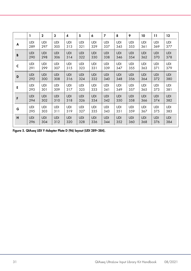|   |            | $\mathbf{2}$ | 3          | 4          | 5          | 6          | $\overline{7}$ | 8          | 9          | 10         | 11         | 12         |
|---|------------|--------------|------------|------------|------------|------------|----------------|------------|------------|------------|------------|------------|
| A | <b>UDI</b> | <b>UDI</b>   | <b>UDI</b> | <b>UDI</b> | <b>UDI</b> | UDI        | <b>UDI</b>     | <b>UDI</b> | <b>UDI</b> | <b>UDI</b> | <b>UDI</b> | <b>UDI</b> |
|   | 289        | 297          | 305        | 313        | 321        | 329        | 337            | 345        | 353        | 361        | 369        | 377        |
| B | <b>UDI</b> | <b>UDI</b>   | <b>UDI</b> | <b>UDI</b> | <b>UDI</b> | <b>UDI</b> | <b>UDI</b>     | <b>UDI</b> | <b>UDI</b> | <b>UDI</b> | <b>UDI</b> | <b>UDI</b> |
|   | 290        | 298          | 306        | 314        | 322        | 330        | 338            | 346        | 354        | 362        | 370        | 378        |
| C | <b>UDI</b> | <b>UDI</b>   | <b>UDI</b> | <b>UDI</b> | UDI        | <b>UDI</b> | <b>UDI</b>     | <b>UDI</b> | <b>UDI</b> | <b>UDI</b> | <b>UDI</b> | <b>UDI</b> |
|   | 291        | 299          | 307        | 315        | 323        | 331        | 339            | 347        | 355        | 363        | 371        | 379        |
| D | <b>UDI</b> | <b>UDI</b>   | <b>UDI</b> | <b>UDI</b> | <b>UDI</b> | <b>UDI</b> | <b>UDI</b>     | <b>UDI</b> | <b>UDI</b> | <b>UDI</b> | <b>UDI</b> | <b>UDI</b> |
|   | 292        | 300          | 308        | 316        | 324        | 332        | 340            | 348        | 356        | 364        | 372        | 380        |
| E | <b>UDI</b> | UDI          | <b>UDI</b> | <b>UDI</b> | <b>UDI</b> | <b>UDI</b> | <b>UDI</b>     | <b>UDI</b> | UDI        | <b>UDI</b> | <b>UDI</b> | <b>UDI</b> |
|   | 293        | 301          | 309        | 317        | 325        | 333        | 341            | 349        | 357        | 365        | 373        | 381        |
| F | <b>UDI</b> | <b>UDI</b>   | <b>UDI</b> | <b>UDI</b> | <b>UDI</b> | <b>UDI</b> | <b>UDI</b>     | <b>UDI</b> | <b>UDI</b> | <b>UDI</b> | <b>UDI</b> | <b>UDI</b> |
|   | 294        | 302          | 310        | 318        | 326        | 334        | 342            | 350        | 358        | 366        | 374        | 382        |
| G | <b>UDI</b> | <b>UDI</b>   | <b>UDI</b> | <b>UDI</b> | <b>UDI</b> | <b>UDI</b> | <b>UDI</b>     | <b>UDI</b> | <b>UDI</b> | <b>UDI</b> | <b>UDI</b> | <b>UDI</b> |
|   | 295        | 303          | 311        | 319        | 327        | 335        | 343            | 351        | 359        | 367        | 375        | 383        |
| н | <b>UDI</b> | <b>UDI</b>   | <b>UDI</b> | <b>UDI</b> | <b>UDI</b> | <b>UDI</b> | <b>UDI</b>     | <b>UDI</b> | <b>UDI</b> | <b>UDI</b> | <b>UDI</b> | <b>UDI</b> |
|   | 296        | 304          | 312        | 320        | 328        | 336        | 344            | 352        | 360        | 368        | 376        | 384        |

<span id="page-30-0"></span>Figure 5. QIAseq UDI Y-Adapter Plate D (96) layout (UDI 289–384).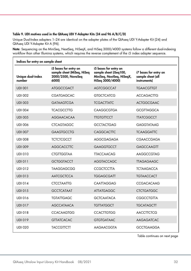#### <span id="page-31-0"></span>Table 9. UDI motives used in the QIAseq UDI Y-Adapter Kits (24 and 96 A/B/C/D)

Unique Dual-Index adapters 1–24 are identical on the adapter plates of the QIAseq UDI Y-Adapter Kit (24) and QIAseq UDI Y-Adapter Kit A (96).

Note: Sequencing on the MiniSeq, NextSeq, HiSeqX, and HiSeq 3000/4000 systems follow a different dual-indexing workflow than other Illumina systems, which requires the reverse complement of the i5 index adapter sequence.

| Indices for entry on sample sheet |                                                                                    |                                                                                                  |                                                                   |  |  |  |  |  |
|-----------------------------------|------------------------------------------------------------------------------------|--------------------------------------------------------------------------------------------------|-------------------------------------------------------------------|--|--|--|--|--|
| Unique dual-index<br>number       | i5 bases for entry on<br>sample sheet (MiSeq, HiSeq<br>2000/2500, NovaSeg<br>6000) | i5 bases for entry on<br>sample sheet (iSeg100,<br>MiniSeq, NextSeq, HiSeqX,<br>HiSeg 3000/4000) | i7 bases for entry on<br>sample sheet (all<br><i>instruments)</i> |  |  |  |  |  |
| <b>UDI 001</b>                    | <b>ATGGCCGACT</b>                                                                  | <b>AGTCGGCCAT</b>                                                                                | <b>TGAACGTTGT</b>                                                 |  |  |  |  |  |
| <b>UDI 002</b>                    | <b>CGATGAGCAC</b>                                                                  | <b>GTGCTCATCG</b>                                                                                | <b>ACCAGACTTG</b>                                                 |  |  |  |  |  |
| <b>UDI 003</b>                    | <b>GATAAGTCGA</b>                                                                  | <b>TCGACTTATC</b>                                                                                | <b>ACTGGCGAAC</b>                                                 |  |  |  |  |  |
| <b>UDI 004</b>                    | <b>TCACGCCTTG</b>                                                                  | <b>CAAGGCGTGA</b>                                                                                | <b>GCGTTAGGCA</b>                                                 |  |  |  |  |  |
| <b>UDI 005</b>                    | <b>AGGAACACAA</b>                                                                  | <b>TIGTGTTCCT</b>                                                                                | <b>TTATCGGCCT</b>                                                 |  |  |  |  |  |
| <b>UDI 006</b>                    | <b>CTCAGTAGGC</b>                                                                  | <b>GCCTACTGAG</b>                                                                                | <b>GAGGTATAAG</b>                                                 |  |  |  |  |  |
| <b>UDI 007</b>                    | <b>GAAGTGCCTG</b>                                                                  | <b>CAGGCACTTC</b>                                                                                | <b>TCAAGGATTC</b>                                                 |  |  |  |  |  |
| <b>UDI 008</b>                    | <b>TCTCTCGCCT</b>                                                                  | AGGCGAGAGA                                                                                       | <b>CGAACCGAGA</b>                                                 |  |  |  |  |  |
| <b>UDI 009</b>                    | <b>AGGCACCTTC</b>                                                                  | <b>GAAGGTGCCT</b>                                                                                | <b>GAGCCAAGTT</b>                                                 |  |  |  |  |  |
| <b>UDI 010</b>                    | <b>CTGTTGGTAA</b>                                                                  | <b>TTACCAACAG</b>                                                                                | AAGGCCGTAG                                                        |  |  |  |  |  |
| <b>UDI 011</b>                    | <b>GCTGGTACCT</b>                                                                  | <b>AGGTACCAGC</b>                                                                                | <b>TTAGAGAAGC</b>                                                 |  |  |  |  |  |
| <b>UDI 012</b>                    | <b>TAAGGAGCGG</b>                                                                  | <b>CCGCTCCTTA</b>                                                                                | <b>TCTAAGACCA</b>                                                 |  |  |  |  |  |
| <b>UDI 013</b>                    | <b>AATCGCTCCA</b>                                                                  | <b>TGGAGCGATT</b>                                                                                | <b>TGTAACCACT</b>                                                 |  |  |  |  |  |
| <b>UDI 014</b>                    | <b>CTCCTAATTG</b>                                                                  | CAATTAGGAG                                                                                       | CCGACACAAG                                                        |  |  |  |  |  |
| <b>UDI 015</b>                    | <b>GCCTCATAAT</b>                                                                  | <b>ATTATGAGGC</b>                                                                                | <b>CTCTGATGGC</b>                                                 |  |  |  |  |  |
| <b>UDI 016</b>                    | <b>TGTATTGAGC</b>                                                                  | <b>GCTCAATACA</b>                                                                                | <b>CGGCCTGTTA</b>                                                 |  |  |  |  |  |
| <b>UDI 017</b>                    | <b>AGCCATAACA</b>                                                                  | <b>TGTTATGGCT</b>                                                                                | <b>TGCATAGCTT</b>                                                 |  |  |  |  |  |
| <b>UDI 018</b>                    | <b>CCACAAGTGG</b>                                                                  | <b>CCACTTGTGG</b>                                                                                | <b>AACCTTCTCG</b>                                                 |  |  |  |  |  |
| <b>UDI 019</b>                    | <b>GTTATCACAC</b>                                                                  | <b>GTGTGATAAC</b>                                                                                | <b>AAGAGATCAC</b>                                                 |  |  |  |  |  |
| <b>UDI 020</b>                    | <b>TACCGTTCTT</b>                                                                  | AAGAACGGTA                                                                                       | <b>GCCTGAAGGA</b>                                                 |  |  |  |  |  |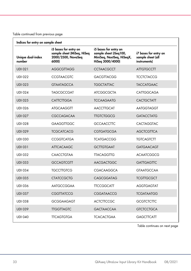| Indices for entry on sample sheet |                                                                                    |                                                                                                  |                                                            |  |  |  |  |  |
|-----------------------------------|------------------------------------------------------------------------------------|--------------------------------------------------------------------------------------------------|------------------------------------------------------------|--|--|--|--|--|
| Unique dual-index<br>number       | i5 bases for entry on<br>sample sheet (MiSeq, HiSeq<br>2000/2500, NovaSeq<br>6000) | i5 bases for entry on<br>sample sheet (iSeg100,<br>MiniSeq, NextSeq, HiSeqX,<br>HiSeq 3000/4000) | i7 bases for entry on<br>sample sheet (all<br>instruments) |  |  |  |  |  |
| <b>UDI 021</b>                    | <b>AGGCGTTAGG</b>                                                                  | <b>CCTAACGCCT</b>                                                                                | <b>ATTGTGCCTT</b>                                          |  |  |  |  |  |
| <b>UDI 022</b>                    | <b>CCGTAACGTC</b>                                                                  | <b>GACGTTACGG</b>                                                                                | <b>TCCTCTACCG</b>                                          |  |  |  |  |  |
| <b>UDI 023</b>                    | <b>GTAATAGCCA</b>                                                                  | <b>TGGCTATTAC</b>                                                                                | <b>TACCATGAAC</b>                                          |  |  |  |  |  |
| <b>UDI 024</b>                    | <b>TAGCGCCGAT</b>                                                                  | <b>ATCGGCGCTA</b>                                                                                | CATTGGCAGA                                                 |  |  |  |  |  |
| <b>UDI 025</b>                    | <b>CATTCTTGGA</b>                                                                  | <b>TCCAAGAATG</b>                                                                                | <b>CACTGCTATT</b>                                          |  |  |  |  |  |
| <b>UDI 026</b>                    | <b>ATGCAAGGTT</b>                                                                  | <b>AACCTTGCAT</b>                                                                                | <b>AATGGTAGGT</b>                                          |  |  |  |  |  |
| <b>UDI 027</b>                    | <b>CGCCAGACAA</b>                                                                  | <b>TIGTCTGGCG</b>                                                                                | <b>GATACCTATG</b>                                          |  |  |  |  |  |
| <b>UDI 028</b>                    | <b>GAAGGTTGGC</b>                                                                  | <b>GCCAACCTTC</b>                                                                                | <b>CACTAGGTAC</b>                                          |  |  |  |  |  |
| <b>UDI 029</b>                    | <b>TCGCATCACG</b>                                                                  | <b>CGTGATGCGA</b>                                                                                | <b>AGCTCGTTCA</b>                                          |  |  |  |  |  |
| <b>UDI 030</b>                    | <b>CCGGTCATGA</b>                                                                  | <b>TCATGACCGG</b>                                                                                | <b>TGTCAGTCTT</b>                                          |  |  |  |  |  |
| <b>UDI 031</b>                    | <b>ATTCACAAGC</b>                                                                  | <b>GCTTGTGAAT</b>                                                                                | <b>GATGAACAGT</b>                                          |  |  |  |  |  |
| <b>UDI 032</b>                    | <b>CAACCTGTAA</b>                                                                  | <b>TTACAGGTTG</b>                                                                                | <b>ACAATCGGCG</b>                                          |  |  |  |  |  |
| <b>UDI 033</b>                    | <b>GCCAGTCGTT</b>                                                                  | <b>AACGACTGGC</b>                                                                                | <b>GATTGAGTTC</b>                                          |  |  |  |  |  |
| <b>UDI 034</b>                    | <b>TGCCTTGTCG</b>                                                                  | <b>CGACAAGGCA</b>                                                                                | <b>GTAATGCCAA</b>                                          |  |  |  |  |  |
| <b>UDI 035</b>                    | <b>CTATCCGCTG</b>                                                                  | <b>CAGCGGATAG</b>                                                                                | <b>TCGTTGCGCT</b>                                          |  |  |  |  |  |
| <b>UDI 036</b>                    | <b>AATGCCGGAA</b>                                                                  | <b>TTCCGGCATT</b>                                                                                | <b>AGGTGAGTAT</b>                                          |  |  |  |  |  |
| <b>UDI 037</b>                    | <b>CGGTTATCCG</b>                                                                  | <b>CGGATAACCG</b>                                                                                | <b>TCGATAATGG</b>                                          |  |  |  |  |  |
| <b>UDI 038</b>                    | <b>GCGGAAGAGT</b>                                                                  | <b>ACTCTTCCGC</b>                                                                                | <b>GCGTCTCTTC</b>                                          |  |  |  |  |  |
| <b>UDI 039</b>                    | <b>TIGGTTAGTC</b>                                                                  | <b>GACTAACCAA</b>                                                                                | <b>GTCTCCTGCA</b>                                          |  |  |  |  |  |
| <b>UDI 040</b>                    | <b>TTCAGTGTGA</b>                                                                  | <b>TCACACTGAA</b>                                                                                | <b>GAGCTTCATT</b>                                          |  |  |  |  |  |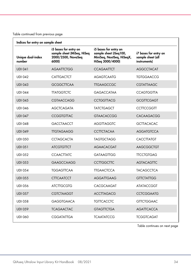| Indices for entry on sample sheet |                                                                                    |                                                                                                  |                                                            |  |  |  |  |  |
|-----------------------------------|------------------------------------------------------------------------------------|--------------------------------------------------------------------------------------------------|------------------------------------------------------------|--|--|--|--|--|
| Unique dual-index<br>number       | i5 bases for entry on<br>sample sheet (MiSeq, HiSeq<br>2000/2500, NovaSeq<br>6000) | i5 bases for entry on<br>sample sheet (iSeq100,<br>MiniSeq, NextSeq, HiSeqX,<br>HiSeg 3000/4000) | i7 bases for entry on<br>sample sheet (all<br>instruments) |  |  |  |  |  |
| <b>UDI 041</b>                    | <b>AGAATTCTGG</b>                                                                  | <b>CCAGAATICT</b>                                                                                | <b>AGGCCTACAT</b>                                          |  |  |  |  |  |
| <b>UDI 042</b>                    | <b>CATTGACTCT</b>                                                                  | <b>AGAGTCAATG</b>                                                                                | <b>TGTGGAACCG</b>                                          |  |  |  |  |  |
| <b>UDI 043</b>                    | <b>GCGGCTTCAA</b>                                                                  | <b>TTGAAGCCGC</b>                                                                                | <b>CGTATTAAGC</b>                                          |  |  |  |  |  |
| <b>UDI 044</b>                    | <b>TTATGGTCTC</b>                                                                  | <b>GAGACCATAA</b>                                                                                | <b>CCAGTGGTTA</b>                                          |  |  |  |  |  |
| <b>UDI 045</b>                    | <b>CGTAACCAGG</b>                                                                  | <b>CCTGGTTACG</b>                                                                                | <b>GCGTTCGAGT</b>                                          |  |  |  |  |  |
| <b>UDI 046</b>                    | <b>AGCTCAGATA</b>                                                                  | <b>TATCTGAGCT</b>                                                                                | <b>CCTTCCGGTT</b>                                          |  |  |  |  |  |
| <b>UDI 047</b>                    | <b>CCGGTGTTAC</b>                                                                  | <b>GTAACACCGG</b>                                                                                | CACAAGACGG                                                 |  |  |  |  |  |
| <b>UDI 048</b>                    | <b>GACCTAACCT</b>                                                                  | <b>AGGTTAGGTC</b>                                                                                | <b>GCTTACACAC</b>                                          |  |  |  |  |  |
| <b>UDI 049</b>                    | <b>TIGTAGAAGG</b>                                                                  | <b>CCTTCTACAA</b>                                                                                | <b>AGGATGTCCA</b>                                          |  |  |  |  |  |
| <b>UDI 050</b>                    | <b>CCTAGCACTA</b>                                                                  | <b>TAGTGCTAGG</b>                                                                                | <b>CACCTTATGT</b>                                          |  |  |  |  |  |
| <b>UDI 051</b>                    | <b>ATCGTGTTCT</b>                                                                  | <b>AGAACACGAT</b>                                                                                | <b>AAGCGGCTGT</b>                                          |  |  |  |  |  |
| <b>UDI 052</b>                    | <b>CCAACTTATC</b>                                                                  | <b>GATAAGTTGG</b>                                                                                | <b>TTCCTGTGAG</b>                                          |  |  |  |  |  |
| <b>UDI 053</b>                    | <b>GAAGCCAAGG</b>                                                                  | <b>CCTTGGCTTC</b>                                                                                | <b>AGTACAGTTC</b>                                          |  |  |  |  |  |
| <b>UDI 054</b>                    | <b>TGGAGTTCAA</b>                                                                  | <b>TTGAACTCCA</b>                                                                                | <b>TACAGCCTCA</b>                                          |  |  |  |  |  |
| <b>UDI 055</b>                    | <b>CTTCAATCCT</b>                                                                  | <b>AGGATTGAAG</b>                                                                                | <b>GTTCTATTGG</b>                                          |  |  |  |  |  |
| <b>UDI 056</b>                    | <b>ATCTTGCGTG</b>                                                                  | CACGCAAGAT                                                                                       | <b>ATATACCGGT</b>                                          |  |  |  |  |  |
| <b>UDI 057</b>                    | <b>CGTCTAAGGT</b>                                                                  | <b>ACCTTAGACG</b>                                                                                | <b>CCTCGGAATG</b>                                          |  |  |  |  |  |
| <b>UDI 058</b>                    | <b>GAGGTGAACA</b>                                                                  | <b>TGTTCACCTC</b>                                                                                | <b>GTTCTGGAAC</b>                                          |  |  |  |  |  |
| <b>UDI 059</b>                    | <b>TCAGAACTAC</b>                                                                  | <b>GTAGTTCTGA</b>                                                                                | <b>AGATTCACCA</b>                                          |  |  |  |  |  |
| <b>UDI 060</b>                    | <b>CGGATATTGA</b>                                                                  | <b>TCAATATCCG</b>                                                                                | <b>TCGGTCAGAT</b>                                          |  |  |  |  |  |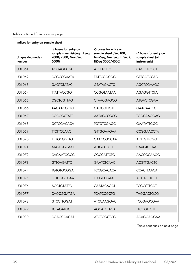| Indices for entry on sample sheet |                                                                                    |                                                                                                  |                                                            |
|-----------------------------------|------------------------------------------------------------------------------------|--------------------------------------------------------------------------------------------------|------------------------------------------------------------|
| Unique dual-index<br>number       | i5 bases for entry on<br>sample sheet (MiSeq, HiSeq<br>2000/2500, NovaSeq<br>6000) | i5 bases for entry on<br>sample sheet (iSeg100,<br>MiniSeq, NextSeq, HiSeqX,<br>HiSeg 3000/4000) | i7 bases for entry on<br>sample sheet (all<br>instruments) |
| <b>UDI 061</b>                    | <b>AGGAGTAGAT</b>                                                                  | <b>ATCTACTCCT</b>                                                                                | <b>CACTCTCGCT</b>                                          |
| <b>UDI 062</b>                    | <b>CCGCCGAATA</b>                                                                  | <b>TATTCGGCGG</b>                                                                                | <b>GTTGGTCCAG</b>                                          |
| <b>UDI 063</b>                    | <b>GAGTCTATAC</b>                                                                  | <b>GTATAGACTC</b>                                                                                | <b>AGCTCGAAGC</b>                                          |
| <b>UDI 064</b>                    | <b>TTATTACCGG</b>                                                                  | CCGGTAATAA                                                                                       | <b>AGAGGTTCTA</b>                                          |
| <b>UDI 065</b>                    | <b>CGCTCGTTAG</b>                                                                  | <b>CTAACGAGCG</b>                                                                                | <b>ATGACTCGAA</b>                                          |
| <b>UDI 066</b>                    | <b>AACAACGCTG</b>                                                                  | <b>CAGCGTTGTT</b>                                                                                | <b>GAACAATCCT</b>                                          |
| <b>UDI 067</b>                    | <b>CGCGGCTATT</b>                                                                  | AATAGCCGCG                                                                                       | <b>TGGCAAGGAG</b>                                          |
| <b>UDI 068</b>                    | <b>GCTCGACACA</b>                                                                  | <b>TGTGTCGAGC</b>                                                                                | <b>GAATATTGGC</b>                                          |
| <b>UDI 069</b>                    | <b>TTCTTCCAAC</b>                                                                  | <b>GTTGGAAGAA</b>                                                                                | <b>CCGGAACCTA</b>                                          |
| <b>UDI 070</b>                    | <b>TTGGCGGTTG</b>                                                                  | CAACCGCCAA                                                                                       | <b>ACTTGTTCGG</b>                                          |
| <b>UDI 071</b>                    | <b>AACAGGCAAT</b>                                                                  | <b>ATTGCCTGTT</b>                                                                                | <b>CAAGTCCAAT</b>                                          |
| <b>UDI 072</b>                    | CAGAATGGCG                                                                         | <b>CGCCATTCTG</b>                                                                                | AACCGCAAGG                                                 |
| <b>UDI 073</b>                    | <b>GTTGAGATTC</b>                                                                  | <b>GAATCTCAAC</b>                                                                                | <b>ACGTTGACTC</b>                                          |
| <b>UDI 074</b>                    | <b>TGTGTGCGGA</b>                                                                  | <b>TCCGCACACA</b>                                                                                | <b>CCACTTAACA</b>                                          |
| <b>UDI 075</b>                    | <b>GTTCGGCGAA</b>                                                                  | <b>TTCGCCGAAC</b>                                                                                | <b>AGCAGTTCCT</b>                                          |
| <b>UDI 076</b>                    | <b>AGCTGTATTG</b>                                                                  | CAATACAGCT                                                                                       | <b>TCGCCTTCGT</b>                                          |
| <b>UDI 077</b>                    | <b>CAGCGGATGA</b>                                                                  | <b>TCATCCGCTG</b>                                                                                | <b>TAGGACTGCG</b>                                          |
| <b>UDI 078</b>                    | <b>GTCCTTGGAT</b>                                                                  | <b>ATCCAAGGAC</b>                                                                                | <b>TCCGAGCGAA</b>                                          |
| <b>UDI 079</b>                    | <b>TCTAGATGCT</b>                                                                  | <b>AGCATCTAGA</b>                                                                                | <b>TTCGGTTGTT</b>                                          |
| <b>UDI 080</b>                    | CGAGCCACAT                                                                         | <b>ATGTGGCTCG</b>                                                                                | <b>ACAGGAGGAA</b>                                          |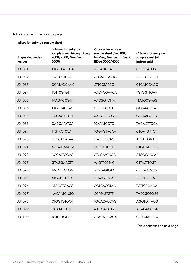| Indices for entry on sample sheet |                                                                                    |                                                                                                  |                                                            |
|-----------------------------------|------------------------------------------------------------------------------------|--------------------------------------------------------------------------------------------------|------------------------------------------------------------|
| Unique dual-index<br>number       | i5 bases for entry on<br>sample sheet (MiSeq, HiSeq<br>2000/2500, NovaSeq<br>6000) | i5 bases for entry on<br>sample sheet (iSeg100,<br>MiniSeq, NextSeq, HiSeqX,<br>HiSeg 3000/4000) | i7 bases for entry on<br>sample sheet (all<br>instruments) |
| <b>UDI 081</b>                    | <b>ATGGAATGGA</b>                                                                  | <b>TCCATTCCAT</b>                                                                                | <b>CCTCCATTAA</b>                                          |
| <b>UDI 082</b>                    | <b>CATTCCTCAC</b>                                                                  | <b>GTGAGGAATG</b>                                                                                | <b>AGTCGCGGTT</b>                                          |
| <b>UDI 083</b>                    | <b>GCATAGGAAG</b>                                                                  | <b>CTTCCTATGC</b>                                                                                | <b>CTCATCCAGG</b>                                          |
| <b>UDI 084</b>                    | <b>TGTTCGTGTT</b>                                                                  | <b>AACACGAACA</b>                                                                                | <b>TGTGGTTGAA</b>                                          |
| <b>UDI 085</b>                    | <b>TAAGACCGTT</b>                                                                  | <b>AACGGTCTTA</b>                                                                                | <b>TTATGCGTGG</b>                                          |
| <b>UDI 086</b>                    | <b>ATGGTACCAG</b>                                                                  | <b>CTGGTACCAT</b>                                                                                | <b>GCGAATGTAT</b>                                          |
| <b>UDI 087</b>                    | <b>CCGACAGCTT</b>                                                                  | <b>AAGCTGTCGG</b>                                                                                | <b>GTCAAGCTCG</b>                                          |
| <b>UDI 088</b>                    | <b>GACGATATGA</b>                                                                  | <b>TCATATCGTC</b>                                                                                | <b>TAGAGTTGGA</b>                                          |
| <b>UDI 089</b>                    | <b>TIGTACTCCA</b>                                                                  | <b>TGGAGTACAA</b>                                                                                | <b>CTGATGATCT</b>                                          |
| <b>UDI 090</b>                    | <b>GTGCACATAA</b>                                                                  | <b>TTATGTGCAC</b>                                                                                | <b>ACTAGGTGTT</b>                                          |
| <b>UDI 091</b>                    | <b>AGGACAAGTA</b>                                                                  | <b>TACTTGTCCT</b>                                                                                | <b>CTGTTAGCGG</b>                                          |
| <b>UDI 092</b>                    | <b>CCGATTCGAG</b>                                                                  | <b>CTCGAATCGG</b>                                                                                | <b>ATCGCACCAA</b>                                          |
| <b>UDI 093</b>                    | <b>GTAGGAACTT</b>                                                                  | <b>AAGTTCCTAC</b>                                                                                | <b>CTTACTTGGT</b>                                          |
| <b>UDI 094</b>                    | <b>TACACTACGA</b>                                                                  | <b>TCGTAGTGTA</b>                                                                                | <b>CCTTAATGCG</b>                                          |
| <b>UDI 095</b>                    | <b>ATGACCTTGA</b>                                                                  | <b>TCAAGGTCAT</b>                                                                                | <b>TCTCGCCTAG</b>                                          |
| <b>UDI 096</b>                    | <b>CTACGTGACG</b>                                                                  | CGTCACGTAG                                                                                       | <b>TCTTCAGAGA</b>                                          |
| <b>UDI 097</b>                    | <b>AACAATCAGG</b>                                                                  | <b>CCTGATTGTT</b>                                                                                | <b>TACCGGTGGT</b>                                          |
| <b>UDI 098</b>                    | <b>CTGGTGTGCA</b>                                                                  | <b>TGCACACCAG</b>                                                                                | <b>AGGTGTTACG</b>                                          |
| <b>UDI 099</b>                    | <b>GCATATCCTT</b>                                                                  | <b>AAGGATATGC</b>                                                                                | <b>ACAGACCGAC</b>                                          |
| <b>UDI 100</b>                    | <b>TGTCCTGTAC</b>                                                                  | <b>GTACAGGACA</b>                                                                                | CGAATACGTA                                                 |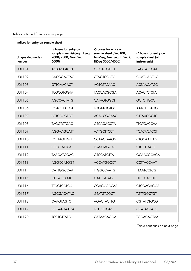| Indices for entry on sample sheet |                                                                                    |                                                                                                  |                                                            |
|-----------------------------------|------------------------------------------------------------------------------------|--------------------------------------------------------------------------------------------------|------------------------------------------------------------|
| Unique dual-index<br>number       | i5 bases for entry on<br>sample sheet (MiSeq, HiSeq<br>2000/2500, NovaSeq<br>6000) | i5 bases for entry on<br>sample sheet (iSeg100,<br>MiniSeq, NextSeq, HiSeqX,<br>HiSeg 3000/4000) | i7 bases for entry on<br>sample sheet (all<br>instruments) |
| <b>UDI 101</b>                    | <b>AGAACGTCGC</b>                                                                  | <b>GCGACGTTCT</b>                                                                                | <b>TAGCATCGAT</b>                                          |
| <b>UDI 102</b>                    | <b>CACGGACTAG</b>                                                                  | <b>CTAGTCCGTG</b>                                                                                | <b>CCATGAGTCG</b>                                          |
| <b>UDI 103</b>                    | <b>GTTGAACACT</b>                                                                  | <b>AGTGTTCAAC</b>                                                                                | <b>ACTAACATGC</b>                                          |
| <b>UDI 104</b>                    | <b>TCGCGTGGTA</b>                                                                  | <b>TACCACGCGA</b>                                                                                | <b>ACACTCTCTA</b>                                          |
| <b>UDI 105</b>                    | <b>AGCCACTATG</b>                                                                  | <b>CATAGTGGCT</b>                                                                                | <b>GCTCTTGCCT</b>                                          |
| <b>UDI 106</b>                    | <b>CCACCTACCA</b>                                                                  | <b>TGGTAGGTGG</b>                                                                                | <b>AATCTTGAGG</b>                                          |
| <b>UDI 107</b>                    | <b>GTTCCGGTGT</b>                                                                  | <b>ACACCGGAAC</b>                                                                                | <b>CTTAACGGTC</b>                                          |
| <b>UDI 108</b>                    | <b>TAGGTCTGAC</b>                                                                  | <b>GTCAGACCTA</b>                                                                                | <b>TTGTGACCAA</b>                                          |
| <b>UDI 109</b>                    | <b>AGGAAGCATT</b>                                                                  | <b>AATGCTTCCT</b>                                                                                | <b>TCACACACCT</b>                                          |
| <b>UDI 110</b>                    | <b>CCTTAGTTGG</b>                                                                  | <b>CCAACTAAGG</b>                                                                                | <b>CTGCAATTAG</b>                                          |
| <b>UDI 111</b>                    | <b>GTCCTATTCA</b>                                                                  | <b>TGAATAGGAC</b>                                                                                | <b>CTCCTTACTC</b>                                          |
| <b>UDI 112</b>                    | <b>TAAGATGGAC</b>                                                                  | <b>GTCCATCTTA</b>                                                                                | <b>GCAACGCAGA</b>                                          |
| <b>UDI 113</b>                    | <b>AGGCCATGGT</b>                                                                  | <b>ACCATGGCCT</b>                                                                                | <b>CCTTACCAAT</b>                                          |
| <b>UDI 114</b>                    | CATTGGCCAA                                                                         | <b>TTGGCCAATG</b>                                                                                | <b>TTAATCCTCG</b>                                          |
| <b>UDI 115</b>                    | <b>GCTATGAATC</b>                                                                  | <b>GATTCATAGC</b>                                                                                | <b>TTCCGAGTTC</b>                                          |
| <b>UDI 116</b>                    | <b>TTGGTCCTCG</b>                                                                  | CGAGGACCAA                                                                                       | <b>CTCGAGAGGA</b>                                          |
| <b>UDI 117</b>                    | <b>AGCGACATAC</b>                                                                  | <b>GTATGTCGCT</b>                                                                                | <b>TGTTGGCTGT</b>                                          |
| <b>UDI 118</b>                    | <b>CAAGTAGTCT</b>                                                                  | <b>AGACTACTTG</b>                                                                                | <b>CGTATCTGCG</b>                                          |
| <b>UDI 119</b>                    | <b>GTCAAGAAGA</b>                                                                  | <b>TCTTCTTGAC</b>                                                                                | <b>CCATAGTATC</b>                                          |
| <b>UDI 120</b>                    | <b>TCCTGTTATG</b>                                                                  | CATAACAGGA                                                                                       | <b>TGGACAGTAA</b>                                          |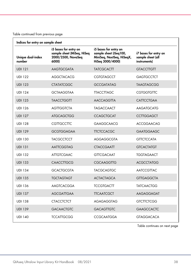| Indices for entry on sample sheet |                                                                                    |                                                                                                  |                                                            |
|-----------------------------------|------------------------------------------------------------------------------------|--------------------------------------------------------------------------------------------------|------------------------------------------------------------|
| Unique dual-index<br>number       | i5 bases for entry on<br>sample sheet (MiSeq, HiSeq<br>2000/2500, NovaSeq<br>6000) | i5 bases for entry on<br>sample sheet (iSeg100,<br>MiniSeq, NextSeq, HiSeqX,<br>HiSeg 3000/4000) | i7 bases for entry on<br>sample sheet (all<br>instruments) |
| <b>UDI 121</b>                    | <b>AAGTGCGATA</b>                                                                  | <b>TATCGCACTT</b>                                                                                | <b>GTACCTTGTT</b>                                          |
| <b>UDI 122</b>                    | <b>AGGCTACACG</b>                                                                  | <b>CGTGTAGCCT</b>                                                                                | <b>GAGTGCCTCT</b>                                          |
| <b>UDI 123</b>                    | <b>CTATATCGGC</b>                                                                  | <b>GCCGATATAG</b>                                                                                | <b>TAAGTAGCGG</b>                                          |
| <b>UDI 124</b>                    | <b>GCTAAGGTAA</b>                                                                  | <b>TTACCTTAGC</b>                                                                                | <b>CGTGGTGTTC</b>                                          |
| <b>UDI 125</b>                    | <b>TAACCTGGTT</b>                                                                  | <b>AACCAGGTTA</b>                                                                                | <b>CATTCCTGAA</b>                                          |
| <b>UDI 126</b>                    | <b>AGTTGGTCTA</b>                                                                  | <b>TAGACCAACT</b>                                                                                | <b>AAGATGCATG</b>                                          |
| <b>UDI 127</b>                    | <b>ATGCAGCTGG</b>                                                                  | <b>CCAGCTGCAT</b>                                                                                | <b>CCTTGGAGCT</b>                                          |
| <b>UDI 128</b>                    | <b>CGTTGCCTTC</b>                                                                  | <b>GAAGGCAACG</b>                                                                                | <b>ACCGGAACAG</b>                                          |
| <b>UDI 129</b>                    | <b>GCGTGGAGAA</b>                                                                  | <b>TTCTCCACGC</b>                                                                                | <b>GAATGGAAGC</b>                                          |
| <b>UDI 130</b>                    | <b>TACGCCTCCT</b>                                                                  | AGGAGGCGTA                                                                                       | <b>GTTCTCCATA</b>                                          |
| <b>UDI 131</b>                    | <b>AATTCGGTAG</b>                                                                  | <b>CTACCGAATT</b>                                                                                | <b>GTCACTATGT</b>                                          |
| <b>UDI 132</b>                    | <b>ATTGTCGAAC</b>                                                                  | <b>GTTCGACAAT</b>                                                                                | <b>TGGTAGAACT</b>                                          |
| <b>UDI 133</b>                    | <b>CAACCTTGCG</b>                                                                  | <b>CGCAAGGTTG</b>                                                                                | <b>ACGCCTATGG</b>                                          |
| <b>UDI 134</b>                    | <b>GCACTGCGTA</b>                                                                  | <b>TACGCAGTGC</b>                                                                                | <b>AATCCGTTAC</b>                                          |
| <b>UDI 135</b>                    | <b>TGCTAGTAGT</b>                                                                  | <b>ACTACTAGCA</b>                                                                                | <b>GTTGAGGCTA</b>                                          |
| <b>UDI 136</b>                    | <b>AAGTCACGGA</b>                                                                  | <b>TCCGTGACTT</b>                                                                                | <b>TATCAACTGG</b>                                          |
| <b>UDI 137</b>                    | <b>AGCGATTGAA</b>                                                                  | <b>TTCAATCGCT</b>                                                                                | AAGAGGAGAT                                                 |
| <b>UDI 138</b>                    | <b>CTACCTCTCT</b>                                                                  | AGAGAGGTAG                                                                                       | <b>GTCTTCTCGG</b>                                          |
| <b>UDI 139</b>                    | <b>GACAACTGTC</b>                                                                  | <b>GACAGTTGTC</b>                                                                                | <b>GAAGCCACTC</b>                                          |
| <b>UDI 140</b>                    | <b>TCCATTGCGG</b>                                                                  | <b>CCGCAATGGA</b>                                                                                | <b>GTAGGACACA</b>                                          |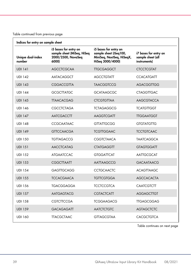| Indices for entry on sample sheet |                                                                                    |                                                                                                  |                                                            |
|-----------------------------------|------------------------------------------------------------------------------------|--------------------------------------------------------------------------------------------------|------------------------------------------------------------|
| Unique dual-index<br>number       | i5 bases for entry on<br>sample sheet (MiSeq, HiSeq<br>2000/2500, NovaSeq<br>6000) | i5 bases for entry on<br>sample sheet (iSeg100,<br>MiniSeq, NextSeq, HiSeqX,<br>HiSeg 3000/4000) | i7 bases for entry on<br>sample sheet (all<br>instruments) |
| <b>UDI 141</b>                    | <b>AGCCTCGCAA</b>                                                                  | <b>TIGCGAGGCT</b>                                                                                | <b>CTCCTCGTAT</b>                                          |
| <b>UDI 142</b>                    | AATACAGGCT                                                                         | <b>AGCCTGTATT</b>                                                                                | <b>CCACATGATT</b>                                          |
| <b>UDI 143</b>                    | <b>CGGACCGTTA</b>                                                                  | <b>TAACGGTCCG</b>                                                                                | AGACGGTTGG                                                 |
| <b>UDI 144</b>                    | <b>GCGCTTATGC</b>                                                                  | <b>GCATAAGCGC</b>                                                                                | <b>CTAGGTTGAC</b>                                          |
| <b>UDI 145</b>                    | <b>TTAACACGAG</b>                                                                  | <b>CTCGTGTTAA</b>                                                                                | <b>AAGCGTACCA</b>                                          |
| <b>UDI 146</b>                    | <b>CGCCTCTAGA</b>                                                                  | <b>TCTAGAGGCG</b>                                                                                | <b>TCATGTTGGT</b>                                          |
| <b>UDI 147</b>                    | <b>AATCGACCTT</b>                                                                  | <b>AAGGTCGATT</b>                                                                                | <b>TIGGAATGGT</b>                                          |
| <b>UDI 148</b>                    | <b>CCGCAATAAC</b>                                                                  | <b>GTTATTGCGG</b>                                                                                | <b>GTGTATGTTG</b>                                          |
| <b>UDI 149</b>                    | <b>GTTCCAACGA</b>                                                                  | <b>TCGTTGGAAC</b>                                                                                | <b>TCCTGTCAAC</b>                                          |
| <b>UDI 150</b>                    | <b>TGTTAGACCG</b>                                                                  | <b>CGGTCTAACA</b>                                                                                | <b>TAATCAGGCA</b>                                          |
| <b>UDI 151</b>                    | <b>AACCTCATAG</b>                                                                  | <b>CTATGAGGTT</b>                                                                                | <b>GTAGTGGATT</b>                                          |
| <b>UDI 152</b>                    | <b>ATGAATCCAC</b>                                                                  | <b>GTGGATTCAT</b>                                                                                | AATTGCGCAT                                                 |
| <b>UDI 153</b>                    | <b>CGGCTTAATT</b>                                                                  | AATTAAGCCG                                                                                       | <b>GACAATAACG</b>                                          |
| <b>UDI 154</b>                    | <b>GAGTTGCAGG</b>                                                                  | <b>CCTGCAACTC</b>                                                                                | <b>ACAGTTAAGC</b>                                          |
| <b>UDI 155</b>                    | <b>TCCACGAACA</b>                                                                  | <b>TGTTCGTGGA</b>                                                                                | <b>AGCCACACTA</b>                                          |
| <b>UDI 156</b>                    | <b>TGACGGAGGA</b>                                                                  | <b>TCCTCCGTCA</b>                                                                                | <b>CAATCGTCTT</b>                                          |
| <b>UDI 157</b>                    | <b>AATGAGTACG</b>                                                                  | <b>CGTACTCATT</b>                                                                                | <b>AGGAGCTTGT</b>                                          |
| <b>UDI 158</b>                    | <b>CGTCTTCCGA</b>                                                                  | <b>TCGGAAGACG</b>                                                                                | <b>TTGAGCGGAG</b>                                          |
| <b>UDI 159</b>                    | <b>GACAGAGATT</b>                                                                  | <b>AATCTCTGTC</b>                                                                                | <b>AGTAGCTCTC</b>                                          |
| <b>UDI 160</b>                    | <b>TTACGCTAAC</b>                                                                  | <b>GTTAGCGTAA</b>                                                                                | <b>CACGCTGTCA</b>                                          |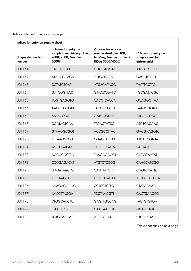| Indices for entry on sample sheet |                                                                                    |                                                                                                  |                                                            |
|-----------------------------------|------------------------------------------------------------------------------------|--------------------------------------------------------------------------------------------------|------------------------------------------------------------|
| Unique dual-index<br>number       | i5 bases for entry on<br>sample sheet (MiSeq, HiSeq<br>2000/2500, NovaSeq<br>6000) | i5 bases for entry on<br>sample sheet (iSeg100,<br>MiniSeq, NextSeq, HiSeqX,<br>HiSeg 3000/4000) | i7 bases for entry on<br>sample sheet (all<br>instruments) |
| <b>UDI 161</b>                    | <b>CTCCTCGAAG</b>                                                                  | <b>CTTCGAGGAG</b>                                                                                | <b>AAGACCTCTT</b>                                          |
| <b>UDI 162</b>                    | <b>ATACCGCAGA</b>                                                                  | <b>TCTGCGGTAT</b>                                                                                | <b>GACCTCTTCT</b>                                          |
| <b>UDI 163</b>                    | <b>CCTATCTGAT</b>                                                                  | <b>ATCAGATAGG</b>                                                                                | <b>TACTTCCTTG</b>                                          |
| <b>UDI 164</b>                    | <b>GATCGGTTAC</b>                                                                  | <b>GTAACCGATC</b>                                                                                | <b>TGCGATACGC</b>                                          |
| <b>UDI 165</b>                    | <b>TGGTGAGGTG</b>                                                                  | <b>CACCTCACCA</b>                                                                                | <b>GCAGGCTTAA</b>                                          |
| <b>UDI 166</b>                    | AACCGGCGTA                                                                         | <b>TACGCCGGTT</b>                                                                                | <b>TAAGCTTGTG</b>                                          |
| <b>UDI 167</b>                    | <b>AATACCGATC</b>                                                                  | <b>GATCGGTATT</b>                                                                                | <b>ATGGTCCGCT</b>                                          |
| <b>UDI 168</b>                    | <b>CGATACTCAA</b>                                                                  | <b>TTGAGTATCG</b>                                                                                | <b>ATGTCAGAAG</b>                                          |
| <b>UDI 169</b>                    | <b>GTAAGGCGGT</b>                                                                  | <b>ACCGCCTTAC</b>                                                                                | <b>GACGAAGGTC</b>                                          |
| <b>UDI 170</b>                    | <b>TTCAAGGTCG</b>                                                                  | <b>CGACCTTGAA</b>                                                                                | <b>ATCACCGTGA</b>                                          |
| <b>UDI 171</b>                    | <b>TATCCGAGTA</b>                                                                  | <b>TACTCGGATA</b>                                                                                | <b>GCTACAGTGT</b>                                          |
| <b>UDI 172</b>                    | <b>AGCGCGCTTA</b>                                                                  | <b>TAAGCGCGCT</b>                                                                                | <b>CGTCGAATAT</b>                                          |
| <b>UDI 173</b>                    | <b>CCGGAGACAT</b>                                                                  | <b>ATGTCTCCGG</b>                                                                                | <b>CAACCATCGG</b>                                          |
| <b>UDI 174</b>                    | <b>GAGATAACTG</b>                                                                  | <b>CAGTTATCTC</b>                                                                                | <b>CGGTCCATTC</b>                                          |
| <b>UDI 175</b>                    | <b>TIGTAAGCGC</b>                                                                  | <b>GCGCTTACAA</b>                                                                                | <b>AGAAGAGCCA</b>                                          |
| <b>UDI 176</b>                    | <b>CAAGAGGAGG</b>                                                                  | <b>CCTCCTCTTG</b>                                                                                | <b>CTATGCAATG</b>                                          |
| <b>UDI 177</b>                    | <b>AACCTTAGGA</b>                                                                  | <b>TCCTAAGGTT</b>                                                                                | <b>CACTGAACCG</b>                                          |
| <b>UDI 178</b>                    | <b>CTGGCAACTC</b>                                                                  | <b>GAGTTGCCAG</b>                                                                                | <b>TACTGTGTGA</b>                                          |
| <b>UDI 179</b>                    | <b>GAACTIGTIG</b>                                                                  | <b>CAACAAGTTC</b>                                                                                | <b>GCATTCTGTT</b>                                          |
| <b>UDI 180</b>                    | <b>TGTGCAAGAT</b>                                                                  | <b>ATCTTGCACA</b>                                                                                | <b>CTCCGCTAAG</b>                                          |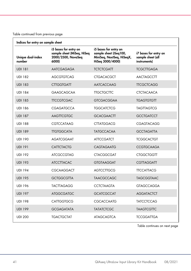| Indices for entry on sample sheet |                                                                                    |                                                                                                  |                                                            |
|-----------------------------------|------------------------------------------------------------------------------------|--------------------------------------------------------------------------------------------------|------------------------------------------------------------|
| Unique dual-index<br>number       | i5 bases for entry on<br>sample sheet (MiSeq, HiSeq<br>2000/2500, NovaSeq<br>6000) | i5 bases for entry on<br>sample sheet (iSeg100,<br>MiniSeq, NextSeq, HiSeqX,<br>HiSeg 3000/4000) | i7 bases for entry on<br>sample sheet (all<br>instruments) |
| <b>UDI 181</b>                    | AATCGAGAGA                                                                         | <b>TCTCTCGATT</b>                                                                                | <b>TCGCTTGAGA</b>                                          |
| <b>UDI 182</b>                    | <b>AGCGTGTCAG</b>                                                                  | <b>CTGACACGCT</b>                                                                                | <b>AACTAGCCTT</b>                                          |
| <b>UDI 183</b>                    | <b>CTTGGTGATT</b>                                                                  | AATCACCAAG                                                                                       | <b>TTCGCTCAGG</b>                                          |
| <b>UDI 184</b>                    | <b>GAAGCAGCAA</b>                                                                  | <b>TTGCTGCTTC</b>                                                                                | CTCTACAACA                                                 |
| <b>UDI 185</b>                    | <b>TTCCGTCGAC</b>                                                                  | <b>GTCGACGGAA</b>                                                                                | <b>TGAGTGTGTT</b>                                          |
| <b>UDI 186</b>                    | <b>CGAGATGCCA</b>                                                                  | <b>TGGCATCTCG</b>                                                                                | <b>TAGTTAGTCG</b>                                          |
| <b>UDI 187</b>                    | <b>AAGTTCGTGC</b>                                                                  | <b>GCACGAACTT</b>                                                                                | <b>GCCTGATCCT</b>                                          |
| <b>UDI 188</b>                    | CGTCCATAAG                                                                         | <b>CTTATGGACG</b>                                                                                | <b>CGAGTACAGG</b>                                          |
| <b>UDI 189</b>                    | <b>TIGTGGCATA</b>                                                                  | <b>TATGCCACAA</b>                                                                                | <b>GCCTAGATTA</b>                                          |
| <b>UDI 190</b>                    | <b>AGATCGGAAT</b>                                                                  | <b>ATTCCGATCT</b>                                                                                | <b>TCGGCACTGT</b>                                          |
| <b>UDI 191</b>                    | <b>CATTCTACTG</b>                                                                  | <b>CAGTAGAATG</b>                                                                                | <b>CCGTGCAAGA</b>                                          |
| <b>UDI 192</b>                    | <b>ATCGCCGTAG</b>                                                                  | <b>CTACGGCGAT</b>                                                                                | <b>CTGGCTGGTT</b>                                          |
| <b>UDI 193</b>                    | <b>ATCCTTACAC</b>                                                                  | <b>GTGTAAGGAT</b>                                                                                | <b>CGTTAGGATT</b>                                          |
| <b>UDI 194</b>                    | <b>CGCAAGGACT</b>                                                                  | <b>AGTCCTTGCG</b>                                                                                | <b>TTCCATTACG</b>                                          |
| <b>UDI 195</b>                    | <b>GCTGGCGTTA</b>                                                                  | <b>TAACGCCAGC</b>                                                                                | <b>TAGCGGTAAC</b>                                          |
| <b>UDI 196</b>                    | <b>TACTTAGAGG</b>                                                                  | <b>CCTCTAAGTA</b>                                                                                | <b>GTAGCCAGGA</b>                                          |
| <b>UDI 197</b>                    | <b>ATGGCGATGC</b>                                                                  | <b>GCATCGCCAT</b>                                                                                | <b>AGGATACTCT</b>                                          |
| <b>UDI 198</b>                    | <b>CATTGGTGCG</b>                                                                  | <b>CGCACCAATG</b>                                                                                | <b>TATCCTCCAG</b>                                          |
| <b>UDI 199</b>                    | <b>GCGAGATATA</b>                                                                  | <b>TATATCTCGC</b>                                                                                | <b>TAAGTCGTTC</b>                                          |
| <b>UDI 200</b>                    | <b>TGACTGCTAT</b>                                                                  | <b>ATAGCAGTCA</b>                                                                                | <b>TCCGGATTGA</b>                                          |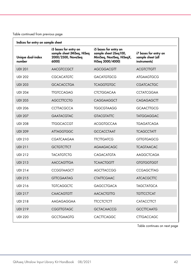| Indices for entry on sample sheet |                                                                                    |                                                                                                  |                                                            |
|-----------------------------------|------------------------------------------------------------------------------------|--------------------------------------------------------------------------------------------------|------------------------------------------------------------|
| Unique dual-index<br>number       | i5 bases for entry on<br>sample sheet (MiSeq, HiSeq<br>2000/2500, NovaSeq<br>6000) | i5 bases for entry on<br>sample sheet (iSeg100,<br>MiniSeq, NextSeq, HiSeqX,<br>HiSeg 3000/4000) | i7 bases for entry on<br>sample sheet (all<br>instruments) |
| <b>UDI 201</b>                    | AACGTCCGCT                                                                         | <b>AGCGGACGTT</b>                                                                                | <b>ACGTCTTGTT</b>                                          |
| <b>UDI 202</b>                    | <b>CGCACATGTC</b>                                                                  | <b>GACATGTGCG</b>                                                                                | <b>ATGAAGTGCG</b>                                          |
| <b>UDI 203</b>                    | <b>GCACACCTGA</b>                                                                  | <b>TCAGGTGTGC</b>                                                                                | <b>CGATCACTGC</b>                                          |
| <b>UDI 204</b>                    | <b>TTGTCCAGAG</b>                                                                  | <b>CTCTGGACAA</b>                                                                                | <b>CCTATCGGAA</b>                                          |
| <b>UDI 205</b>                    | <b>AGCCTTCCTG</b>                                                                  | CAGGAAGGCT                                                                                       | <b>CAGAGAGCTT</b>                                          |
| <b>UDI 206</b>                    | CCTTACGCCA                                                                         | <b>TGGCGTAAGG</b>                                                                                | <b>GCAACTTGCG</b>                                          |
| <b>UDI 207</b>                    | <b>GAATACGTAC</b>                                                                  | <b>GTACGTATTC</b>                                                                                | <b>TATGGAGGAC</b>                                          |
| <b>UDI 208</b>                    | <b>TIGGCACCGT</b>                                                                  | <b>ACGGTGCCAA</b>                                                                                | <b>TGAGATCAGA</b>                                          |
| <b>UDI 209</b>                    | <b>ATTAGGTGGC</b>                                                                  | <b>GCCACCTAAT</b>                                                                                | <b>TCAGCCTATT</b>                                          |
| <b>UDI 210</b>                    | <b>CGATCAAGAA</b>                                                                  | <b>TTCTTGATCG</b>                                                                                | <b>GTTGTGAGCG</b>                                          |
| <b>UDI 211</b>                    | <b>GCTGTCTTCT</b>                                                                  | <b>AGAAGACAGC</b>                                                                                | <b>TCAGTAACAC</b>                                          |
| <b>UDI 212</b>                    | <b>TACATGTCTG</b>                                                                  | <b>CAGACATGTA</b>                                                                                | <b>AAGGCTCAGA</b>                                          |
| <b>UDI 213</b>                    | <b>AACCAGTTGA</b>                                                                  | <b>TCAACTGGTT</b>                                                                                | <b>GTGTGGTGGT</b>                                          |
| <b>UDI 214</b>                    | <b>CCGGTAAGCT</b>                                                                  | <b>AGCTTACCGG</b>                                                                                | <b>CCGAGCTTAG</b>                                          |
| <b>UDI 215</b>                    | <b>GTTCGAATAG</b>                                                                  | <b>CTATTCGAAC</b>                                                                                | <b>ATCACGCTTC</b>                                          |
| <b>UDI 216</b>                    | <b>TGTCAGGCTC</b>                                                                  | <b>GAGCCTGACA</b>                                                                                | <b>TAGCTATGCA</b>                                          |
| <b>UDI 217</b>                    | <b>CAACAGTGTT</b>                                                                  | <b>AACACTGTTG</b>                                                                                | <b>TGTTCCTCAT</b>                                          |
| <b>UDI 218</b>                    | AAGAGAGGAA                                                                         | <b>TTCCTCTCTT</b>                                                                                | <b>CATACCTTCT</b>                                          |
| <b>UDI 219</b>                    | <b>CGGTTGTAGC</b>                                                                  | <b>GCTACAACCG</b>                                                                                | <b>GCCTTCAATG</b>                                          |
| <b>UDI 220</b>                    | <b>GCCTGAAGTG</b>                                                                  | <b>CACTTCAGGC</b>                                                                                | <b>CTTGACCAGC</b>                                          |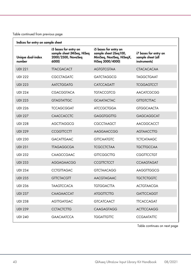| Indices for entry on sample sheet |                                                                                    |                                                                                                  |                                                            |
|-----------------------------------|------------------------------------------------------------------------------------|--------------------------------------------------------------------------------------------------|------------------------------------------------------------|
| Unique dual-index<br>number       | i5 bases for entry on<br>sample sheet (MiSeq, HiSeq<br>2000/2500, NovaSeq<br>6000) | i5 bases for entry on<br>sample sheet (iSeg100,<br>MiniSeq, NextSeq, HiSeqX,<br>HiSeg 3000/4000) | i7 bases for entry on<br>sample sheet (all<br>instruments) |
| <b>UDI 221</b>                    | <b>TTACGACACT</b>                                                                  | <b>AGTGTCGTAA</b>                                                                                | <b>CTACACACAA</b>                                          |
| <b>UDI 222</b>                    | <b>CGCCTAGATC</b>                                                                  | <b>GATCTAGGCG</b>                                                                                | <b>TAGGCTGAAT</b>                                          |
| <b>UDI 223</b>                    | <b>AATCTGGATG</b>                                                                  | <b>CATCCAGATT</b>                                                                                | <b>TCGGAGTCCT</b>                                          |
| <b>UDI 224</b>                    | CGACGGTACA                                                                         | <b>TGTACCGTCG</b>                                                                                | <b>AACATCGCGG</b>                                          |
| <b>UDI 225</b>                    | <b>GTAGTATTGC</b>                                                                  | <b>GCAATACTAC</b>                                                                                | <b>GTTGTCTTAC</b>                                          |
| <b>UDI 226</b>                    | <b>TCCAGCGGAT</b>                                                                  | <b>ATCCGCTGGA</b>                                                                                | <b>GTGGCAACTA</b>                                          |
| <b>UDI 227</b>                    | <b>CAACCACCTC</b>                                                                  | <b>GAGGTGGTTG</b>                                                                                | <b>GAGCAGGCAT</b>                                          |
| <b>UDI 228</b>                    | AGCTTAGGCG                                                                         | CGCCTAAGCT                                                                                       | AACGGCACCT                                                 |
| <b>UDI 229</b>                    | <b>CCGGTTCCTT</b>                                                                  | AAGGAACCGG                                                                                       | <b>AGTAACCTTG</b>                                          |
| <b>UDI 230</b>                    | <b>GACATTGAAC</b>                                                                  | <b>GTTCAATGTC</b>                                                                                | <b>TCTCATAAGC</b>                                          |
| <b>UDI 231</b>                    | <b>TTAGAGGCGA</b>                                                                  | <b>TCGCCTCTAA</b>                                                                                | <b>TGCTTGCCAA</b>                                          |
| <b>UDI 232</b>                    | CAAGCCGAAC                                                                         | <b>GTTCGGCTTG</b>                                                                                | <b>CGGTTCCTGT</b>                                          |
| <b>UDI 233</b>                    | AGGAGAACGG                                                                         | <b>CCGTTCTCCT</b>                                                                                | <b>CCAAGTAGAT</b>                                          |
| <b>UDI 234</b>                    | <b>CCTGTTAGAC</b>                                                                  | <b>GTCTAACAGG</b>                                                                                | AAGGTTGGCG                                                 |
| <b>UDI 235</b>                    | <b>GTTCTACGTT</b>                                                                  | <b>AACGTAGAAC</b>                                                                                | <b>TGCTCTGGTC</b>                                          |
| <b>UDI 236</b>                    | <b>TAAGTCCACA</b>                                                                  | <b>TGTGGACTTA</b>                                                                                | <b>ACTGTAACGA</b>                                          |
| <b>UDI 237</b>                    | CAAGAACCAT                                                                         | <b>ATGGTTCTTG</b>                                                                                | <b>GATTCCAGGT</b>                                          |
| <b>UDI 238</b>                    | <b>AGTTGATGAC</b>                                                                  | <b>GTCATCAACT</b>                                                                                | <b>TTCACCAGAT</b>                                          |
| <b>UDI 239</b>                    | <b>CCTACTCTTG</b>                                                                  | <b>CAAGAGTAGG</b>                                                                                | <b>ACTTCCAAGG</b>                                          |
| <b>UDI 240</b>                    | <b>GAACAATCCA</b>                                                                  | <b>TGGATTGTTC</b>                                                                                | <b>CCGAATATTC</b>                                          |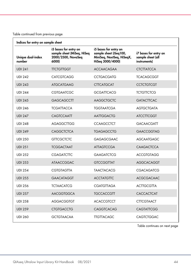| Indices for entry on sample sheet |                                                                                    |                                                                                                  |                                                            |
|-----------------------------------|------------------------------------------------------------------------------------|--------------------------------------------------------------------------------------------------|------------------------------------------------------------|
| Unique dual-index<br>number       | i5 bases for entry on<br>sample sheet (MiSeq, HiSeq<br>2000/2500, NovaSeq<br>6000) | i5 bases for entry on<br>sample sheet (iSeg100,<br>MiniSeq, NextSeq, HiSeqX,<br>HiSeg 3000/4000) | i7 bases for entry on<br>sample sheet (all<br>instruments) |
| <b>UDI 241</b>                    | <b>TICTGITGGT</b>                                                                  | <b>ACCAACAGAA</b>                                                                                | <b>CTCTTATCCA</b>                                          |
| <b>UDI 242</b>                    | <b>CATCGTCAGG</b>                                                                  | <b>CCTGACGATG</b>                                                                                | <b>TCACAGCGGT</b>                                          |
| <b>UDI 243</b>                    | <b>ATGCATGAAG</b>                                                                  | <b>CTTCATGCAT</b>                                                                                | <b>CCTCTGTCGT</b>                                          |
| <b>UDI 244</b>                    | <b>CGTGAATCGC</b>                                                                  | <b>GCGATTCACG</b>                                                                                | <b>TCTGTTCTCG</b>                                          |
| <b>UDI 245</b>                    | <b>GAGCAGCCTT</b>                                                                  | <b>AAGGCTGCTC</b>                                                                                | <b>GATACTTCAC</b>                                          |
| <b>UDI 246</b>                    | <b>TCGATTACCA</b>                                                                  | <b>TGGTAATCGA</b>                                                                                | <b>AGTGCTGATA</b>                                          |
| <b>UDI 247</b>                    | <b>CAGTCCAATT</b>                                                                  | <b>AATTGGACTG</b>                                                                                | <b>ATCCTTCGGT</b>                                          |
| <b>UDI 248</b>                    | <b>AGAGGCTTGG</b>                                                                  | <b>CCAAGCCTCT</b>                                                                                | <b>GACAACGATT</b>                                          |
| <b>UDI 249</b>                    | <b>CAGGCTCTCA</b>                                                                  | <b>TGAGAGCCTG</b>                                                                                | <b>GAACCGGTAG</b>                                          |
| <b>UDI 250</b>                    | <b>GTTCGCTCTC</b>                                                                  | <b>GAGAGCGAAC</b>                                                                                | <b>AGCAATGAGC</b>                                          |
| <b>UDI 251</b>                    | <b>TCGGACTAAT</b>                                                                  | <b>ATTAGTCCGA</b>                                                                                | <b>CAAGACTCCA</b>                                          |
| <b>UDI 252</b>                    | <b>CGAGATCTTC</b>                                                                  | <b>GAAGATCTCG</b>                                                                                | <b>ACCGTGTAGG</b>                                          |
| <b>UDI 253</b>                    | <b>ATAACCGGAC</b>                                                                  | <b>GTCCGGTTAT</b>                                                                                | <b>AGGCACAGGT</b>                                          |
| <b>UDI 254</b>                    | <b>CGTGTAGTTA</b>                                                                  | <b>TAACTACACG</b>                                                                                | CGACAGATCG                                                 |
| <b>UDI 255</b>                    | <b>GAACATAGGT</b>                                                                  | <b>ACCTATGTTC</b>                                                                                | <b>ACGCGACAAC</b>                                          |
| <b>UDI 256</b>                    | <b>TCTAACATCG</b>                                                                  | <b>CGATGTTAGA</b>                                                                                | <b>ACTTGCGTTA</b>                                          |
| <b>UDI 257</b>                    | <b>AACGGTGGCA</b>                                                                  | <b>TGCCACCGTT</b>                                                                                | <b>CACCACTCAT</b>                                          |
| <b>UDI 258</b>                    | <b>AGGACGGTGT</b>                                                                  | <b>ACACCGTCCT</b>                                                                                | <b>CTTCGTAACT</b>                                          |
| <b>UDI 259</b>                    | <b>CTGTGACCTG</b>                                                                  | <b>CAGGTCACAG</b>                                                                                | CAGTATTCGG                                                 |
| <b>UDI 260</b>                    | <b>GCTGTAACAA</b>                                                                  | <b>TIGTTACAGC</b>                                                                                | <b>CAGTCTGGAC</b>                                          |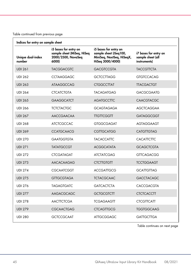| Indices for entry on sample sheet |                                                                                    |                                                                                                  |                                                            |
|-----------------------------------|------------------------------------------------------------------------------------|--------------------------------------------------------------------------------------------------|------------------------------------------------------------|
| Unique dual-index<br>number       | i5 bases for entry on<br>sample sheet (MiSeq, HiSeq<br>2000/2500, NovaSeq<br>6000) | i5 bases for entry on<br>sample sheet (iSeg100,<br>MiniSeq, NextSeq, HiSeqX,<br>HiSeg 3000/4000) | i7 bases for entry on<br>sample sheet (all<br>instruments) |
| <b>UDI 261</b>                    | <b>TACGGACGTC</b>                                                                  | <b>GACGTCCGTA</b>                                                                                | <b>TACCGTTCTA</b>                                          |
| <b>UDI 262</b>                    | <b>CCTAAGGAGC</b>                                                                  | <b>GCTCCTTAGG</b>                                                                                | <b>GTGTCCACAG</b>                                          |
| <b>UDI 263</b>                    | <b>ATAAGGCCAG</b>                                                                  | <b>CTGGCCTTAT</b>                                                                                | <b>TTACGACTGT</b>                                          |
| <b>UDI 264</b>                    | <b>CTCATCTGTA</b>                                                                  | <b>TACAGATGAG</b>                                                                                | <b>GACGCGAATG</b>                                          |
| <b>UDI 265</b>                    | <b>GAAGGCATCT</b>                                                                  | <b>AGATGCCTTC</b>                                                                                | <b>CAACGTACGC</b>                                          |
| <b>UDI 266</b>                    | <b>TCTCTACTGC</b>                                                                  | <b>GCAGTAGAGA</b>                                                                                | <b>AGCTCAGGAA</b>                                          |
| <b>UDI 267</b>                    | <b>AACCGAACAA</b>                                                                  | <b>TIGTICGGTT</b>                                                                                | <b>GATAGGCGGT</b>                                          |
| <b>UDI 268</b>                    | <b>ATCTCGCCAC</b>                                                                  | <b>GTGGCGAGAT</b>                                                                                | AGTAGGAAGT                                                 |
| <b>UDI 269</b>                    | <b>CCATGCAACG</b>                                                                  | <b>CGTTGCATGG</b>                                                                                | <b>CATGTTGTAG</b>                                          |
| <b>UDI 270</b>                    | <b>GAATGGTGTA</b>                                                                  | <b>TACACCATTC</b>                                                                                | <b>CACATTCTTC</b>                                          |
| <b>UDI 271</b>                    | <b>TATATGCCGT</b>                                                                  | <b>ACGGCATATA</b>                                                                                | <b>GCAGCTCGTA</b>                                          |
| <b>UDI 272</b>                    | <b>CTCGATAGAT</b>                                                                  | <b>ATCTATCGAG</b>                                                                                | <b>GTTCAGACGG</b>                                          |
| <b>UDI 273</b>                    | <b>AACACAAGAG</b>                                                                  | <b>CTCTTGTGTT</b>                                                                                | <b>TCCTGGAAGT</b>                                          |
| <b>UDI 274</b>                    | CGCAATCGGT                                                                         | <b>ACCGATTGCG</b>                                                                                | <b>GCATTGTTAG</b>                                          |
| <b>UDI 275</b>                    | <b>GTTGCGTAGA</b>                                                                  | <b>TCTACGCAAC</b>                                                                                | <b>GACCTACAGC</b>                                          |
| <b>UDI 276</b>                    | <b>TAGAGTGATC</b>                                                                  | <b>GATCACTCTA</b>                                                                                | <b>CACCGACGTA</b>                                          |
| <b>UDI 277</b>                    | AAGACGCAGC                                                                         | <b>GCTGCGTCTT</b>                                                                                | <b>CTCTCACCTT</b>                                          |
| <b>UDI 278</b>                    | <b>AACTTCTCGA</b>                                                                  | <b>TCGAGAAGTT</b>                                                                                | <b>CTCGTTCATT</b>                                          |
| <b>UDI 279</b>                    | <b>CGCAACTGAG</b>                                                                  | <b>CTCAGTTGCG</b>                                                                                | <b>TGGTGGCAAG</b>                                          |
| <b>UDI 280</b>                    | <b>GCTCCGCAAT</b>                                                                  | <b>ATTGCGGAGC</b>                                                                                | <b>GATTGCTTGA</b>                                          |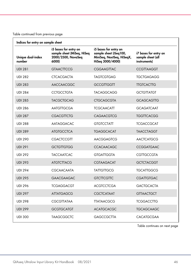| Indices for entry on sample sheet |                                                                                    |                                                                                                  |                                                            |
|-----------------------------------|------------------------------------------------------------------------------------|--------------------------------------------------------------------------------------------------|------------------------------------------------------------|
| Unique dual-index<br>number       | i5 bases for entry on<br>sample sheet (MiSeq, HiSeq<br>2000/2500, NovaSeq<br>6000) | i5 bases for entry on<br>sample sheet (iSeg100,<br>MiniSeq, NextSeq, HiSeqX,<br>HiSeg 3000/4000) | i7 bases for entry on<br>sample sheet (all<br>instruments) |
| <b>UDI 281</b>                    | <b>GTAACTTCCG</b>                                                                  | <b>CGGAAGTTAC</b>                                                                                | <b>CCGTTAAGGT</b>                                          |
| <b>UDI 282</b>                    | <b>CTCACGACTA</b>                                                                  | <b>TAGTCGTGAG</b>                                                                                | <b>TGCTGAGAGG</b>                                          |
| <b>UDI 283</b>                    | <b>AACCAACGGC</b>                                                                  | <b>GCCGTTGGTT</b>                                                                                | <b>TIGICACTIG</b>                                          |
| <b>UDI 284</b>                    | <b>CCTGCCTGTA</b>                                                                  | <b>TACAGGCAGG</b>                                                                                | <b>GCTGTTATGT</b>                                          |
| <b>UDI 285</b>                    | <b>TACGCTGCAG</b>                                                                  | <b>CTGCAGCGTA</b>                                                                                | <b>GCAGCAGTTG</b>                                          |
| <b>UDI 286</b>                    | <b>AATGTTGCGA</b>                                                                  | <b>TCGCAACATT</b>                                                                                | <b>GCAGATCAAT</b>                                          |
| <b>UDI 287</b>                    | <b>CGACGTTCTG</b>                                                                  | <b>CAGAACGTCG</b>                                                                                | <b>TGGTTCACGG</b>                                          |
| <b>UDI 288</b>                    | AATAGGACAC                                                                         | <b>GTGTCCTATT</b>                                                                                | <b>TCGACCGCAT</b>                                          |
| <b>UDI 289</b>                    | <b>ATGTGCCTCA</b>                                                                  | <b>TGAGGCACAT</b>                                                                                | <b>TAACCTAGGT</b>                                          |
| <b>UDI 290</b>                    | <b>CGACTCCGTT</b>                                                                  | AACGGAGTCG                                                                                       | <b>AACTCATGCG</b>                                          |
| <b>UDI 291</b>                    | <b>GCTGTTGTGG</b>                                                                  | <b>CCACAACAGC</b>                                                                                | <b>CCGGATGAAC</b>                                          |
| <b>UDI 292</b>                    | <b>TACCAATCAC</b>                                                                  | <b>GTGATTGGTA</b>                                                                                | <b>CGTTGCCGTA</b>                                          |
| <b>UDI 293</b>                    | <b>ATGTCTTACG</b>                                                                  | <b>CGTAAGACAT</b>                                                                                | <b>GCTCTACGGT</b>                                          |
| <b>UDI 294</b>                    | CGCAACAATA                                                                         | <b>TATTGTTGCG</b>                                                                                | <b>TGCATTGGCG</b>                                          |
| <b>UDI 295</b>                    | <b>GAACGAAGAC</b>                                                                  | <b>GTCTTCGTTC</b>                                                                                | <b>CGATIGTGAC</b>                                          |
| <b>UDI 296</b>                    | <b>TCGAGGACGT</b>                                                                  | <b>ACGTCCTCGA</b>                                                                                | <b>GACTGCACTA</b>                                          |
| <b>UDI 297</b>                    | <b>ATTATGAGCG</b>                                                                  | <b>CGCTCATAAT</b>                                                                                | <b>GTTAACTGCT</b>                                          |
| <b>UDI 298</b>                    | CGCGTTATAA                                                                         | <b>TTATAACGCG</b>                                                                                | <b>TCGGACCTTG</b>                                          |
| <b>UDI 299</b>                    | <b>GCGTGCATGT</b>                                                                  | <b>ACATGCACGC</b>                                                                                | <b>TGCAGCAAGC</b>                                          |
| <b>UDI 300</b>                    | <b>TAAGCGGCTC</b>                                                                  | <b>GAGCCGCTTA</b>                                                                                | <b>CACATGCGAA</b>                                          |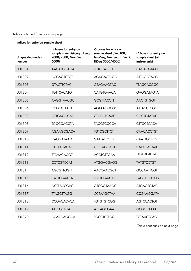| Indices for entry on sample sheet |                                                                                    |                                                                                                  |                                                            |  |  |  |
|-----------------------------------|------------------------------------------------------------------------------------|--------------------------------------------------------------------------------------------------|------------------------------------------------------------|--|--|--|
| Unique dual-index<br>number       | i5 bases for entry on<br>sample sheet (MiSeq, HiSeq<br>2000/2500, NovaSeq<br>6000) | i5 bases for entry on<br>sample sheet (iSeg100,<br>MiniSeq, NextSeq, HiSeqX,<br>HiSeg 3000/4000) | i7 bases for entry on<br>sample sheet (all<br>instruments) |  |  |  |
| <b>UDI 301</b>                    | <b>AACATGGAGA</b>                                                                  | <b>TCTCCATGTT</b>                                                                                | CAGACGTAAT                                                 |  |  |  |
| <b>UDI 302</b>                    | <b>CCGAGTCTCT</b>                                                                  | <b>AGAGACTCGG</b>                                                                                | <b>ATTCGGTACG</b>                                          |  |  |  |
| <b>UDI 303</b>                    | <b>GTACTTCTAC</b>                                                                  | <b>GTAGAAGTAC</b>                                                                                | <b>TTAGCACGGC</b>                                          |  |  |  |
| <b>UDI 304</b>                    | <b>TGTTCACATG</b>                                                                  | <b>CATGTGAACA</b>                                                                                | <b>GAGGATAGTA</b>                                          |  |  |  |
| <b>UDI 305</b>                    | <b>AAGGTAACGC</b>                                                                  | <b>GCGTTACCTT</b>                                                                                | <b>AACTGTGGTT</b>                                          |  |  |  |
| <b>UDI 306</b>                    | <b>CCGCCTTACT</b>                                                                  | AGTAAGGCGG                                                                                       | <b>ATTACCTCGG</b>                                          |  |  |  |
| <b>UDI 307</b>                    | <b>GTTGAGGCAG</b>                                                                  | <b>CTGCCTCAAC</b>                                                                                | <b>CGCTGTATAC</b>                                          |  |  |  |
| <b>UDI 308</b>                    | <b>TGGCGACCTA</b>                                                                  | <b>TAGGTCGCCA</b>                                                                                | <b>CTTGCTCACA</b>                                          |  |  |  |
| <b>UDI 309</b>                    | <b>AGAAGCGACA</b>                                                                  | <b>TGTCGCTTCT</b>                                                                                | <b>CAACACCTGT</b>                                          |  |  |  |
| <b>UDI 310</b>                    | CAGGATAATC                                                                         | <b>GATTATCCTG</b>                                                                                | <b>CAATTGCTCG</b>                                          |  |  |  |
| <b>UDI 311</b>                    | <b>GCTCCTACAG</b>                                                                  | <b>CTGTAGGAGC</b>                                                                                | <b>CATAGACAAC</b>                                          |  |  |  |
| <b>UDI 312</b>                    | <b>TTCAACAGGT</b>                                                                  | <b>ACCTGTTGAA</b>                                                                                | <b>TTGGTGTCTA</b>                                          |  |  |  |
| <b>UDI 313</b>                    | <b>CCTCGTCCAT</b>                                                                  | <b>ATGGACGAGG</b>                                                                                | <b>TATGTCCTGT</b>                                          |  |  |  |
| <b>UDI 314</b>                    | <b>AGCGTTGGTT</b>                                                                  | AACCAACGCT                                                                                       | <b>GCCAATTCGT</b>                                          |  |  |  |
| <b>UDI 315</b>                    | <b>CATTCGAACA</b>                                                                  | <b>TGTTCGAATG</b>                                                                                | <b>TAGGCGATCG</b>                                          |  |  |  |
| <b>UDI 316</b>                    | <b>GCTTACCGAC</b>                                                                  | <b>GTCGGTAAGC</b>                                                                                | <b>ATGAGTGTAC</b>                                          |  |  |  |
| <b>UDI 317</b>                    | <b>TTAGCTTAGG</b>                                                                  | <b>CCTAAGCTAA</b>                                                                                | <b>CCGAAGGATA</b>                                          |  |  |  |
| <b>UDI 318</b>                    | <b>CCGACACACA</b>                                                                  | <b>TGTGTGTCGG</b>                                                                                | <b>AGTCCACTGT</b>                                          |  |  |  |
| <b>UDI 319</b>                    | <b>ATTCGCTGAT</b>                                                                  | <b>ATCAGCGAAT</b>                                                                                | <b>GCGGCTAATT</b>                                          |  |  |  |
| <b>UDI 320</b>                    | <b>CCAAGAGGCA</b>                                                                  | <b>TGCCTCTTGG</b>                                                                                | <b>TCTAACTCAG</b>                                          |  |  |  |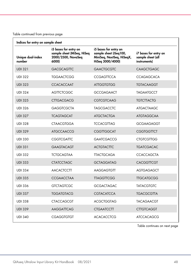| Indices for entry on sample sheet |                                                                                    |                                                                                                  |                                                            |  |  |  |
|-----------------------------------|------------------------------------------------------------------------------------|--------------------------------------------------------------------------------------------------|------------------------------------------------------------|--|--|--|
| Unique dual-index<br>number       | i5 bases for entry on<br>sample sheet (MiSeq, HiSeq<br>2000/2500, NovaSeq<br>6000) | i5 bases for entry on<br>sample sheet (iSeg100,<br>MiniSeq, NextSeq, HiSeqX,<br>HiSeg 3000/4000) | i7 bases for entry on<br>sample sheet (all<br>instruments) |  |  |  |
| <b>UDI 321</b>                    | <b>GACGCAGTTC</b>                                                                  | <b>GAACTGCGTC</b>                                                                                | CAAGCTGAGC                                                 |  |  |  |
| <b>UDI 322</b>                    | <b>TGGAACTCGG</b>                                                                  | <b>CCGAGTTCCA</b>                                                                                | <b>CCAGAGCACA</b>                                          |  |  |  |
| <b>UDI 323</b>                    | <b>CCACACCAAT</b>                                                                  | <b>ATTGGTGTGG</b>                                                                                | <b>TGTACAAGGT</b>                                          |  |  |  |
| <b>UDI 324</b>                    | <b>AGTTCTCGGC</b>                                                                  | <b>GCCGAGAACT</b>                                                                                | <b>TAGAATGCCT</b>                                          |  |  |  |
| <b>UDI 325</b>                    | <b>CTTGACGACG</b>                                                                  | <b>CGTCGTCAAG</b>                                                                                | <b>TGTCTTACTG</b>                                          |  |  |  |
| <b>UDI 326</b>                    | <b>GAGGTCGCTA</b>                                                                  | <b>TAGCGACCTC</b>                                                                                | <b>ATGACTAAGC</b>                                          |  |  |  |
| <b>UDI 327</b>                    | <b>TCAGTAGCAT</b>                                                                  | <b>ATGCTACTGA</b>                                                                                | <b>ATGTAGGCAA</b>                                          |  |  |  |
| <b>UDI 328</b>                    | <b>CTAACGTGGA</b>                                                                  | <b>TCCACGTTAG</b>                                                                                | <b>GCGAAGAGGT</b>                                          |  |  |  |
| <b>UDI 329</b>                    | <b>ATGCCAACCG</b>                                                                  | <b>CGGTTGGCAT</b>                                                                                | <b>CGGTGGTTCT</b>                                          |  |  |  |
| <b>UDI 330</b>                    | <b>CGGTCGATTC</b>                                                                  | <b>GAATCGACCG</b>                                                                                | <b>CTGTCGTTGG</b>                                          |  |  |  |
| <b>UDI 331</b>                    | <b>GAAGTACAGT</b>                                                                  | <b>ACTGTACTTC</b>                                                                                | <b>TGATCGACAC</b>                                          |  |  |  |
| <b>UDI 332</b>                    | <b>TCTGCAGTAA</b>                                                                  | <b>TTACTGCAGA</b>                                                                                | <b>CCACCAGCTA</b>                                          |  |  |  |
| <b>UDI 333</b>                    | <b>CTATCCTAGC</b>                                                                  | <b>GCTAGGATAG</b>                                                                                | <b>CACGGTTCGT</b>                                          |  |  |  |
| <b>UDI 334</b>                    | <b>AACACTCCTT</b>                                                                  | <b>AAGGAGTGTT</b>                                                                                | AGTGAGAGCT                                                 |  |  |  |
| <b>UDI 335</b>                    | <b>CCGAACCTAA</b>                                                                  | <b>TTAGGTTCGG</b>                                                                                | <b>TIGCATGCGG</b>                                          |  |  |  |
| <b>UDI 336</b>                    | <b>GTCTAGTCGC</b>                                                                  | <b>GCGACTAGAC</b>                                                                                | <b>TATACGTGTC</b>                                          |  |  |  |
| <b>UDI 337</b>                    | <b>TGGATGTACG</b>                                                                  | <b>CGTACATCCA</b>                                                                                | <b>TGACGCGTTA</b>                                          |  |  |  |
| <b>UDI 338</b>                    | <b>CTACCAGCGT</b>                                                                  | <b>ACGCTGGTAG</b>                                                                                | <b>TACAGAACGT</b>                                          |  |  |  |
| <b>UDI 339</b>                    | AAGGATTCAG                                                                         | <b>CTGAATCCTT</b>                                                                                | <b>CTTGTCAGGT</b>                                          |  |  |  |
| <b>UDI 340</b>                    | <b>CGAGGTGTGT</b>                                                                  | <b>ACACACCTCG</b>                                                                                | <b>ATCCACAGCG</b>                                          |  |  |  |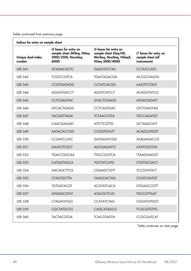| Indices for entry on sample sheet |                                                                                    |                                                                                                  |                                                            |  |  |  |
|-----------------------------------|------------------------------------------------------------------------------------|--------------------------------------------------------------------------------------------------|------------------------------------------------------------|--|--|--|
| Unique dual-index<br>number       | i5 bases for entry on<br>sample sheet (MiSeq, HiSeq<br>2000/2500, NovaSeq<br>6000) | i5 bases for entry on<br>sample sheet (iSeg100,<br>MiniSeq, NextSeq, HiSeqX,<br>HiSeq 3000/4000) | i7 bases for entry on<br>sample sheet (all<br>instruments) |  |  |  |
| <b>UDI 341</b>                    | <b>GTAGACGCTC</b>                                                                  | <b>GAGCGTCTAC</b>                                                                                | <b>CCTATCCATC</b>                                          |  |  |  |
| <b>UDI 342</b>                    | <b>TCGTCCGTCA</b>                                                                  | <b>TGACGGACGA</b>                                                                                | <b>ACCGCGAGTA</b>                                          |  |  |  |
| <b>UDI 343</b>                    | <b>CCGTGATAGG</b>                                                                  | <b>CCTATCACGG</b>                                                                                | <b>AAGTTCTGGT</b>                                          |  |  |  |
| <b>UDI 344</b>                    | <b>AGGATGACCT</b>                                                                  | <b>AGGTCATCCT</b>                                                                                | <b>ACAGGTATCG</b>                                          |  |  |  |
| <b>UDI 345</b>                    | <b>CCTCGAGTAC</b>                                                                  | <b>GTACTCGAGG</b>                                                                                | <b>ATGACGGATT</b>                                          |  |  |  |
| <b>UDI 346</b>                    | <b>GTCACTGAGG</b>                                                                  | <b>CCTCAGTGAC</b>                                                                                | <b>GTCTGAGTAG</b>                                          |  |  |  |
| <b>UDI 347</b>                    | <b>TACGGTTAGA</b>                                                                  | <b>TCTAACCGTA</b>                                                                                | <b>TGCCAGATGT</b>                                          |  |  |  |
| <b>UDI 348</b>                    | <b>CAACGAGAAT</b>                                                                  | <b>ATTCTCGTTG</b>                                                                                | <b>GCTAAGCATT</b>                                          |  |  |  |
| <b>UDI 349</b>                    | AATACACCGG                                                                         | <b>CCGGTGTATT</b>                                                                                | <b>ACAGCATGGT</b>                                          |  |  |  |
| <b>UDI 350</b>                    | <b>CCGATCCATC</b>                                                                  | <b>GATGGATCGG</b>                                                                                | <b>ATAGAGACCG</b>                                          |  |  |  |
| <b>UDI 351</b>                    | <b>GAATCTCGCT</b>                                                                  | <b>AGCGAGATTC</b>                                                                                | <b>ATATCGCGTA</b>                                          |  |  |  |
| <b>UDI 352</b>                    | <b>TGACCGGCAA</b>                                                                  | <b>TTGCCGGTCA</b>                                                                                | <b>TTAAGGAGGT</b>                                          |  |  |  |
| <b>UDI 353</b>                    | <b>CATGATAGCA</b>                                                                  | <b>TGCTATCATG</b>                                                                                | <b>CTGTGCGACT</b>                                          |  |  |  |
| <b>UDI 354</b>                    | <b>AACAGCTTCG</b>                                                                  | <b>CGAAGCTGTT</b>                                                                                | <b>TCCGTATGCT</b>                                          |  |  |  |
| <b>UDI 355</b>                    | <b>CTAGTGCTTA</b>                                                                  | <b>TAAGCACTAG</b>                                                                                | <b>CCATCGATGT</b>                                          |  |  |  |
| <b>UDI 356</b>                    | <b>TGTGATACGT</b>                                                                  | <b>ACGTATCACA</b>                                                                                | <b>GTGAGCCGTT</b>                                          |  |  |  |
| <b>UDI 357</b>                    | <b>ATGAGCGTAT</b>                                                                  | <b>ATACGCTCAT</b>                                                                                | <b>TGCCGTTAAT</b>                                          |  |  |  |
| <b>UDI 358</b>                    | <b>CTAGATATGG</b>                                                                  | <b>CCATATCTAG</b>                                                                                | <b>CGGATGTGGT</b>                                          |  |  |  |
| <b>UDI 359</b>                    | <b>CGCTATGCTG</b>                                                                  | <b>CAGCATAGCG</b>                                                                                | <b>TCGCGTGTTG</b>                                          |  |  |  |
| <b>UDI 360</b>                    | <b>TACTACGTGA</b>                                                                  | <b>TCACGTAGTA</b>                                                                                | CCGCGATCAT                                                 |  |  |  |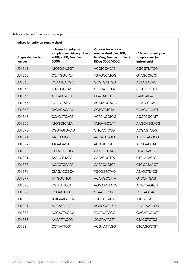| Unique dual-index<br>number | i5 bases for entry on<br>sample sheet (MiSeq, HiSeq<br>2000/2500, NovaSeq<br>6000) | i5 bases for entry on<br>sample sheet (iSeg100,<br>MiniSeq, NextSeq, HiSeqX,<br>HiSeg 3000/4000) | i7 bases for entry on<br>sample sheet (all<br>instruments) |
|-----------------------------|------------------------------------------------------------------------------------|--------------------------------------------------------------------------------------------------|------------------------------------------------------------|
| <b>UDI 361</b>              | <b>ATGTGGAGGT</b>                                                                  | <b>ACCTCCACAT</b>                                                                                | <b>CGCGTTATCG</b>                                          |
| <b>UDI 362</b>              | <b>CCATGGCTCA</b>                                                                  | <b>TGAGCCATGG</b>                                                                                | <b>GTAGCCTCCT</b>                                          |
| <b>UDI 363</b>              | <b>CCAATCACGC</b>                                                                  | <b>GCGTGATTGG</b>                                                                                | <b>ACTAGACACT</b>                                          |
| <b>UDI 364</b>              | <b>TTAGATCCAG</b>                                                                  | <b>CTGGATCTAA</b>                                                                                | <b>CGATTCGTTG</b>                                          |
| <b>UDI 365</b>              | <b>AGGAATATCG</b>                                                                  | <b>CGATATTCCT</b>                                                                                | <b>GAAGAGATGT</b>                                          |
| <b>UDI 366</b>              | <b>CCTCCTATGT</b>                                                                  | <b>ACATAGGAGG</b>                                                                                | AGATCCGACG                                                 |
| <b>UDI 367</b>              | <b>TAGAGACACG</b>                                                                  | <b>CGTGTCTCTA</b>                                                                                | <b>CCAGGACATT</b>                                          |
| <b>UDI 368</b>              | <b>CCAGCTCAGT</b>                                                                  | <b>ACTGAGCTGG</b>                                                                                | <b>ACGTGGCATT</b>                                          |
| <b>UDI 369</b>              | <b>ATGGCTCATA</b>                                                                  | <b>TATGAGCCAT</b>                                                                                | AAGCAGGACG                                                 |
| <b>UDI 370</b>              | <b>CGGAGTGAAG</b>                                                                  | <b>CTTCACTCCG</b>                                                                                | <b>ACGAGTCGGT</b>                                          |
| <b>UDI 371</b>              | <b>TACCTATGGT</b>                                                                  | <b>ACCATAGGTA</b>                                                                                | <b>AGTGTACGCG</b>                                          |
| <b>UDI 372</b>              | <b>ATGAGACAGT</b>                                                                  | <b>ACTGTCTCAT</b>                                                                                | <b>ACCGACCATT</b>                                          |
| <b>UDI 373</b>              | <b>CTAAGAGTTG</b>                                                                  | <b>CAACTCTTAG</b>                                                                                | <b>TTGCTAACGT</b>                                          |
| <b>UDI 374</b>              | <b>TAACCGTATG</b>                                                                  | <b>CATACGGTTA</b>                                                                                | <b>CTTGATACTG</b>                                          |
| <b>UDI 375</b>              | <b>AGAGTCCATG</b>                                                                  | <b>CATGGACTCT</b>                                                                                | <b>CTGGATAAGT</b>                                          |
| <b>UDI 376</b>              | <b>CTAGACCGCA</b>                                                                  | <b>TGCGGTCTAG</b>                                                                                | <b>ATAGCTTACG</b>                                          |
| <b>UDI 377</b>              | <b>TATGGCTTGT</b>                                                                  | <b>ACAAGCCATA</b>                                                                                | <b>GTCCATGAGT</b>                                          |
| <b>UDI 378</b>              | CGTTGTTCCT                                                                         | <b>AGGAACAACG</b>                                                                                | <b>ACTCCAGTCG</b>                                          |
| <b>UDI 379</b>              | <b>CCGACATTAG</b>                                                                  | <b>CTAATGTCGG</b>                                                                                | <b>TCTCAGCACG</b>                                          |
| <b>UDI 380</b>              | <b>TGTGAAGGCA</b>                                                                  | <b>TGCCTTCACA</b>                                                                                | <b>ATCGTGATGT</b>                                          |
| <b>UDI 381</b>              | <b>AGCATCGTCT</b>                                                                  | <b>AGACGATGCT</b>                                                                                | <b>ACGCAATCCG</b>                                          |
| <b>UDI 382</b>              | <b>CCGACTAGGA</b>                                                                  | <b>TCCTAGTCGG</b>                                                                                | <b>GAGATCGGCT</b>                                          |
| <b>UDI 383</b>              | <b>AACATTACCG</b>                                                                  | <b>CGGTAATGTT</b>                                                                                | <b>CTACGTCTCG</b>                                          |
| <b>UDI 384</b>              | <b>CCTAATTCGT</b>                                                                  | <b>ACGAATTAGG</b>                                                                                | <b>CTCAGGCTGT</b>                                          |
|                             |                                                                                    |                                                                                                  |                                                            |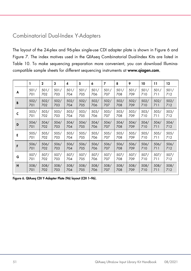### <span id="page-50-0"></span>Combinatorial Dual-Index Y-Adapters

The layout of the 24-plex and 96-plex single-use CDI adapter plate is shown in [Figure 6](#page-50-1) and [Figure 7.](#page-51-0) The index motives used in the QIAseq Combinatorial Dual-Index Kits are listed in [Table 10.](#page-51-1) To make sequencing preparation more convenient, you can download Illuminacompatible sample sheets for different sequencing instruments at [www.qiagen.com](http://www.qiagen.com/).

|   | ı    | $\mathbf{2}$ | 3    | 4    | 5    | 6    | 7    | 8    | 9    | 10   | 11   | 12   |
|---|------|--------------|------|------|------|------|------|------|------|------|------|------|
| A | 501/ | 501/         | 501/ | 501/ | 501/ | 501/ | 501/ | 501/ | 501/ | 501/ | 501/ | 501/ |
|   | 701  | 702          | 703  | 704  | 705  | 706  | 707  | 708  | 709  | 710  | 711  | 712  |
| B | 502/ | 502/         | 502/ | 502/ | 502/ | 502/ | 502/ | 502/ | 502/ | 502/ | 502/ | 502/ |
|   | 701  | 702          | 703  | 704  | 705  | 706  | 707  | 708  | 709  | 710  | 711  | 712  |
| C | 503/ | 503/         | 503/ | 503/ | 503/ | 503/ | 503/ | 503/ | 503/ | 503/ | 503/ | 503/ |
|   | 701  | 702          | 703  | 704  | 705  | 706  | 707  | 708  | 709  | 710  | 711  | 712  |
| D | 504/ | 504/         | 504/ | 504/ | 504/ | 504/ | 504/ | 504/ | 504/ | 504/ | 504/ | 504/ |
|   | 701  | 702          | 703  | 704  | 705  | 706  | 707  | 708  | 709  | 710  | 711  | 712  |
| Е | 505/ | 505/         | 505/ | 505/ | 505/ | 505/ | 505/ | 505/ | 505/ | 505/ | 505/ | 505/ |
|   | 701  | 702          | 703  | 704  | 705  | 706  | 707  | 708  | 709  | 710  | 711  | 712  |
| F | 506/ | 506/         | 506/ | 506/ | 506/ | 506/ | 506/ | 506/ | 506/ | 506/ | 506/ | 506/ |
|   | 701  | 702          | 703  | 704  | 705  | 706  | 707  | 708  | 709  | 710  | 711  | 712  |
| G | 507/ | 507/         | 507/ | 507/ | 507/ | 507/ | 507/ | 507/ | 507/ | 507/ | 507/ | 507/ |
|   | 701  | 702          | 703  | 704  | 705  | 706  | 707  | 708  | 709  | 710  | 711  | 712  |
| H | 508/ | 508/         | 508/ | 508/ | 508/ | 508/ | 508/ | 508/ | 508/ | 508/ | 508/ | 508/ |
|   | 701  | 702          | 703  | 704  | 705  | 706  | 707  | 708  | 709  | 710  | 711  | 712  |

<span id="page-50-1"></span>Figure 6. QIAseq CDI Y-Adapter Plate (96) layout (CDI 1–96).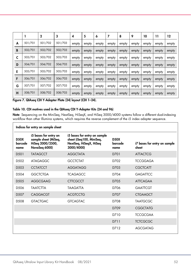|   |         | $\mathbf 2$ | 3       | 4     | 5     | 6     | 7     | 8     | 9     | 10    | 11    | 12    |
|---|---------|-------------|---------|-------|-------|-------|-------|-------|-------|-------|-------|-------|
| A | 501/701 | 501/702     | 501/703 | empty | empty | empty | empty | empty | empty | empty | empty | empty |
| B | 502/701 | 502/702     | 502/703 | empty | empty | empty | empty | empty | empty | empty | empty | empty |
| C | 503/701 | 503/702     | 503/703 | empty | empty | empty | empty | empty | empty | empty | empty | empty |
| D | 504/701 | 504/702     | 504/703 | empty | empty | empty | empty | empty | empty | empty | empty | empty |
| E | 505/701 | 505/702     | 505/703 | empty | empty | empty | empty | empty | empty | empty | empty | empty |
| F | 506/701 | 506/702     | 506/703 | empty | empty | empty | empty | empty | empty | empty | empty | empty |
| G | 507/701 | 507/702     | 507/703 | empty | empty | empty | empty | empty | empty | empty | empty | empty |
| н | 508/701 | 508/702     | 508/703 | empty | empty | empty | empty | empty | empty | empty | empty | empty |

<span id="page-51-0"></span>Figure 7. QIAseq CDI Y-Adapter Plate (24) layout (CDI 1–24).

 $\mathbf{r}$ 

#### <span id="page-51-1"></span>Table 10. CDI motives used in the QIAseq CDI Y-Adapter Kits (24 and 96)

Note: Sequencing on the MiniSeq, NextSeq, HiSeqX, and HiSeq 3000/4000 systems follow a different dual-indexing workflow than other Illumina systems, which requires the reverse complement of the i5 index adapter sequence.

|                                | Indices for entry on sample sheet                                                  |                                                                                                  |                                |                                       |
|--------------------------------|------------------------------------------------------------------------------------|--------------------------------------------------------------------------------------------------|--------------------------------|---------------------------------------|
| <b>D50X</b><br>barcode<br>name | i5 bases for entry on<br>sample sheet (MiSeq,<br>HiSeq 2000/2500,<br>NovaSeq 6000) | i5 bases for entry on sample<br>sheet (iSeq100, MiniSeq,<br>NextSeq, HiSeqX, HiSeq<br>3000/4000) | <b>D50X</b><br>barcode<br>name | i7 bases for entry on sample<br>sheet |
| D <sub>50</sub> 1              | <b>TATAGCCT</b>                                                                    | <b>AGGCTATA</b>                                                                                  | D701                           | <b>ATTACTCG</b>                       |
| D.502                          | <b>ATAGAGGC</b>                                                                    | <b>GCCTCTAT</b>                                                                                  | D702                           | <b>TCCGGAGA</b>                       |
| D <sub>503</sub>               | <b>CCTATCCT</b>                                                                    | <b>AGGATAGG</b>                                                                                  | D703                           | <b>CGCTCATT</b>                       |
| D <sub>504</sub>               | <b>GGCTCTGA</b>                                                                    | <b>TCAGAGCC</b>                                                                                  | D704                           | <b>GAGATTCC</b>                       |
| D <sub>505</sub>               | <b>AGGCGAAG</b>                                                                    | <b>CTTCGCCT</b>                                                                                  | D705                           | <b>ATTCAGAA</b>                       |
| D <sub>506</sub>               | <b>TAATCTTA</b>                                                                    | <b>TAAGATTA</b>                                                                                  | D706                           | GAATTCGT                              |
| D <sub>507</sub>               | CAGGACGT                                                                           | <b>ACGTCCTG</b>                                                                                  | D707                           | <b>CTGAAGCT</b>                       |
| D <sub>508</sub>               | <b>GTACTGAC</b>                                                                    | <b>GTCAGTAC</b>                                                                                  | D708                           | <b>TAATGCGC</b>                       |
|                                |                                                                                    |                                                                                                  | D709                           | <b>CGGCTATG</b>                       |
|                                |                                                                                    |                                                                                                  | D710                           | <b>TCCGCGAA</b>                       |
|                                |                                                                                    |                                                                                                  | D711                           | <b>TCTCGCGC</b>                       |
|                                |                                                                                    |                                                                                                  | D712                           | <b>AGCGATAG</b>                       |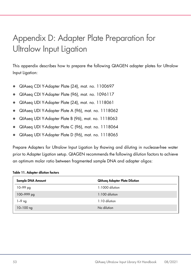# <span id="page-52-0"></span>Appendix D: Adapter Plate Preparation for Ultralow Input Ligation

This appendix describes how to prepare the following QIAGEN adapter plates for Ultralow Input Ligation:

- QIAseq CDI Y-Adapter Plate (24), mat. no. 1100697
- QIAseq CDI Y-Adapter Plate (96), mat. no. 1096117
- QIAseq UDI Y-Adapter Plate (24), mat. no. 1118061
- QIAseq UDI Y-Adapter Plate A (96), mat. no. 1118062
- QIAseq UDI Y-Adapter Plate B (96), mat. no. 1118063
- QIAseq UDI Y-Adapter Plate C (96), mat. no. 1118064
- QIAseq UDI Y-Adapter Plate D (96), mat. no. 1118065

Prepare Adapters for Ultralow Input Ligation by thawing and diluting in nuclease-free water prior to Adapter Ligation setup. QIAGEN recommends the following dilution factors to achieve an optimum molar ratio between fragmented sample DNA and adapter oligos:

#### Table 11. Adapter dilution factors

| Sample DNA Amount | <b>QIAseq Adapter Plate Dilution</b> |
|-------------------|--------------------------------------|
| $10 - 99$ pg      | 1:1000 dilution                      |
| 100-999 pg        | $1:100$ dilution                     |
| 1–9 ng            | $1:10$ dilution                      |
| $10 - 100$ ng     | No dilution                          |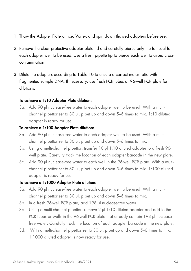- 1. Thaw the Adapter Plate on ice. Vortex and spin down thawed adapters before use.
- 2. Remove the clear protective adapter plate lid and carefully pierce only the foil seal for each adapter well to be used. Use a fresh pipette tip to pierce each well to avoid crosscontamination.
- 3. Dilute the adapters according to Table 10 to ensure a correct molar ratio with fragmented sample DNA. If necessary, use fresh PCR tubes or 96-well PCR plate for dilutions.

#### To achieve a 1:10 Adapter Plate dilution:

3a. Add 90 µl nuclease-free water to each adapter well to be used. With a multichannel pipettor set to 30 µl, pipet up and down 5–6 times to mix. 1:10 diluted adapter is ready for use.

#### To achieve a 1:100 Adapter Plate dilution:

- 3a. Add 90 µl nuclease-free water to each adapter well to be used. With a multichannel pipettor set to 30 µl, pipet up and down 5–6 times to mix.
- 3b. Using a multi-channel pipettor, transfer 10 µl 1:10 diluted adapter to a fresh 96 well plate. Carefully track the location of each adapter barcode in the new plate.
- 3c. Add 90 µl nuclease-free water to each well in the 96-well PCR plate. With a multichannel pipettor set to 30 µl, pipet up and down 5–6 times to mix. 1:100 diluted adapter is ready for use.

### To achieve a 1:1000 Adapter Plate dilution:

- 3a. Add 90 µl nuclease-free water to each adapter well to be used. With a multichannel pipettor set to 30 µl, pipet up and down 5–6 times to mix.
- 3b. In a fresh 96-well PCR plate, add 198 µl nuclease-free water.
- 3c. Using a multi-channel pipettor, remove 2 µl 1:10 diluted adapter and add to the PCR tubes or wells in the 96-well PCR plate that already contain 198 µl nucleasefree water. Carefully track the location of each adapter barcode in the new plate.
- 3d. With a multi-channel pipettor set to 30 µl, pipet up and down 5-6 times to mix. 1:1000 diluted adapter is now ready for use.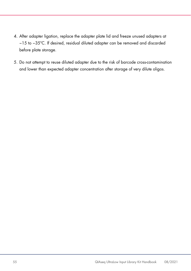- 4. After adapter ligation, replace the adapter plate lid and freeze unused adapters at −15 to −35ºC. If desired, residual diluted adapter can be removed and discarded before plate storage.
- 5. Do not attempt to reuse diluted adapter due to the risk of barcode cross-contamination and lower than expected adapter concentration after storage of very dilute oligos.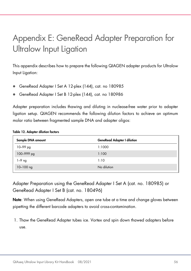# <span id="page-55-0"></span>Appendix E: GeneRead Adapter Preparation for Ultralow Input Ligation

This appendix describes how to prepare the following QIAGEN adapter products for Ultralow Input Ligation:

- GeneRead Adapter I Set A 12-plex (144), cat. no 180985
- GeneRead Adapter I Set B 12-plex (144), cat. no 180986

Adapter preparation includes thawing and diluting in nuclease-free water prior to adapter ligation setup. QIAGEN recommends the following dilution factors to achieve an optimum molar ratio between fragmented sample DNA and adapter oligos:

#### Table 12. Adapter dilution factors

| <b>GeneRead Adapter I dilution</b> |
|------------------------------------|
| 1:1000                             |
| 1:100                              |
| 1:10                               |
| No dilution                        |
|                                    |

Adapter Preparation using the GeneRead Adapter I Set A (cat. no. 180985) or GeneRead Adapter I Set B (cat. no. 180496)

Note: When using GeneRead Adapters, open one tube at a time and change gloves between pipetting the different barcode adapters to avoid cross-contamination.

1. Thaw the GeneRead Adapter tubes ice. Vortex and spin down thawed adapters before use.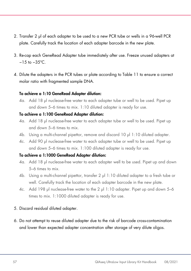- 2. Transfer 2 µl of each adapter to be used to a new PCR tube or wells in a 96-well PCR plate. Carefully track the location of each adapter barcode in the new plate.
- 3. Re-cap each GeneRead Adapter tube immediately after use. Freeze unused adapters at −15 to −35ºC.
- 4. Dilute the adapters in the PCR tubes or plate according to Table 11 to ensure a correct molar ratio with fragmented sample DNA.

#### To achieve a 1:10 GeneRead Adapter dilution:

4a. Add 18 µl nuclease-free water to each adapter tube or well to be used. Pipet up and down 5–6 times to mix. 1:10 diluted adapter is ready for use.

#### To achieve a 1:100 GeneRead Adapter dilution:

- 4a. Add 18 µl nuclease-free water to each adapter tube or well to be used. Pipet up and down 5–6 times to mix.
- 4b. Using a multi-channel pipettor, remove and discard 10 µl 1:10 diluted adapter.
- 4c. Add 90 µl nuclease-free water to each adapter tube or well to be used. Pipet up and down 5–6 times to mix. 1:100 diluted adapter is ready for use.

#### To achieve a 1:1000 GeneRead Adapter dilution:

- 4a. Add 18 µl nuclease-free water to each adapter well to be used. Pipet up and down 5–6 times to mix.
- 4b. Using a multi-channel pipettor, transfer 2 µl 1:10 diluted adapter to a fresh tube or well. Carefully track the location of each adapter barcode in the new plate.
- 4c. Add 198 µl nuclease-free water to the 2 µl 1:10 adapter. Pipet up and down 5–6 times to mix. 1:1000 diluted adapter is ready for use.

#### 5. Discard residual diluted adapter.

6. Do not attempt to reuse diluted adapter due to the risk of barcode cross-contamination and lower than expected adapter concentration after storage of very dilute oligos.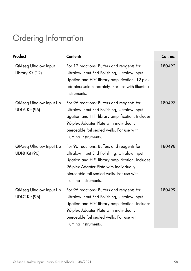# <span id="page-57-0"></span>Ordering Information

| Product                                                   | <b>Contents</b>                                                                                                                                                                                                                                                   | Cat. no. |
|-----------------------------------------------------------|-------------------------------------------------------------------------------------------------------------------------------------------------------------------------------------------------------------------------------------------------------------------|----------|
| <b>QIAseq Ultralow Input</b><br>Library Kit (12)          | For 12 reactions: Buffers and reagents for<br>Ultralow Input End Polishing, Ultralow Input<br>Ligation and HiFi library amplification. 12-plex<br>adapters sold separately. For use with Illumina<br>instruments.                                                 | 180492   |
| <b>QIAseq Ultralow Input Lib</b><br><b>UDI-A Kit (96)</b> | For 96 reactions: Buffers and reagents for<br>Ultralow Input End Polishing, Ultralow Input<br>Ligation and HiFi library amplification. Includes<br>96-plex Adapter Plate with individually<br>pierceable foil sealed wells. For use with<br>Illumina instruments. | 180497   |
| <b>QIAseq Ultralow Input Lib</b><br><b>UDI-B Kit (96)</b> | For 96 reactions: Buffers and reagents for<br>Ultralow Input End Polishing, Ultralow Input<br>Ligation and HiFi library amplification. Includes<br>96-plex Adapter Plate with individually<br>pierceable foil sealed wells. For use with<br>Illumina instruments. | 180498   |
| <b>QIAseq Ultralow Input Lib</b><br><b>UDI-C Kit (96)</b> | For 96 reactions: Buffers and reagents for<br>Ultralow Input End Polishing, Ultralow Input<br>Ligation and HiFi library amplification. Includes<br>96-plex Adapter Plate with individually<br>pierceable foil sealed wells. For use with<br>Illumina instruments. | 180499   |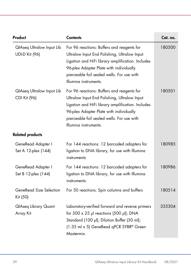| Product                                                   | <b>Contents</b>                                                                                                                                                                                                                                                   | Cat. no. |
|-----------------------------------------------------------|-------------------------------------------------------------------------------------------------------------------------------------------------------------------------------------------------------------------------------------------------------------------|----------|
| <b>QIAseq Ultralow Input Lib</b><br><b>UDI-D Kit (96)</b> | For 96 reactions: Buffers and reagents for<br>Ultralow Input End Polishing, Ultralow Input<br>Ligation and HiFi library amplification. Includes<br>96-plex Adapter Plate with individually<br>pierceable foil sealed wells. For use with<br>Illumina instruments. | 180500   |
| <b>QIAseq Ultralow Input Lib</b><br>CDI Kit (96)          | For 96 reactions: Buffers and reagents for<br>Ultralow Input End Polishing, Ultralow Input<br>Ligation and HiFi library amplification. Includes<br>96-plex Adapter Plate with individually<br>pierceable foil sealed wells. For use with<br>Illumina instruments. | 180501   |
| <b>Related products</b>                                   |                                                                                                                                                                                                                                                                   |          |
| GeneRead Adapter I<br>Set A 12-plex (144)                 | For 144 reactions: 12 barcoded adapters for<br>ligation to DNA library, for use with Illumina<br>instruments                                                                                                                                                      | 180985   |
| GeneRead Adapter I<br>Set B 12-plex (144)                 | For 144 reactions: 12 barcoded adapters for<br>ligation to DNA library, for use with Illumina<br>instruments                                                                                                                                                      | 180986   |
| GeneRead Size Selection<br>Kit (50)                       | For 50 reactions: Spin columns and buffers                                                                                                                                                                                                                        | 180514   |
| <b>QlAseq Library Quant</b><br>Array Kit                  | Laboratory-verified forward and reverse primers<br>for $500 \times 25$ µl reactions (500 µl); DNA<br>Standard (100 µl); Dilution Buffer (30 ml);<br>(1.35 ml x 5) GeneRead qPCR SYBR® Green<br>Mastermix                                                          | 333304   |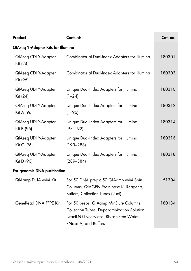| Product                                   | <b>Contents</b>                                                                                                                                            | Cat. no. |
|-------------------------------------------|------------------------------------------------------------------------------------------------------------------------------------------------------------|----------|
| <b>QIAseq Y-Adapter Kits for Illumina</b> |                                                                                                                                                            |          |
| QlAseq CDI Y-Adapter<br>Kit (24)          | Combinatorial Dual-Index Adapters for Illumina                                                                                                             | 180301   |
| QlAseq CDI Y-Adapter<br>Kit (96)          | Combinatorial Dual-Index Adapters for Illumina                                                                                                             | 180303   |
| QIAseq UDI Y-Adapter<br>Kit (24)          | Unique Dual-Index Adapters for Illumina<br>$(1 - 24)$                                                                                                      | 180310   |
| QIAseq UDI Y-Adapter<br>Kit A (96)        | Unique Dual-Index Adapters for Illumina<br>$(1 - 96)$                                                                                                      | 180312   |
| QIAseq UDI Y-Adapter<br>Kit B (96)        | Unique Dual-Index Adapters for Illumina<br>$(97 - 192)$                                                                                                    | 180314   |
| QIAseq UDI Y-Adapter<br>Kit C (96)        | Unique Dual-Index Adapters for Illumina<br>$(193 - 288)$                                                                                                   | 180316   |
| QIAseq UDI Y-Adapter<br>Kit D (96)        | Unique Dual-Index Adapters for Illumina<br>$(289 - 384)$                                                                                                   | 180318   |
| For genomic DNA purification              |                                                                                                                                                            |          |
| QlAamp DNA Mini Kit                       | For 50 DNA preps: 50 QIAamp Mini Spin<br>Columns, QIAGEN Proteinase K, Reagents,<br>Buffers, Collection Tubes (2 ml)                                       | 51304    |
| GeneRead DNA FFPE Kit                     | For 50 preps: QIAamp MinElute Columns,<br>Collection Tubes, Deparaffinization Solution,<br>Uracil-N-Glycosylase, RNase-Free Water,<br>RNase A, and Buffers | 180134   |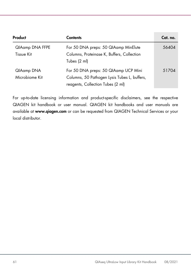| Product                              | <b>Contents</b>                                                                                                           | Cat. no. |
|--------------------------------------|---------------------------------------------------------------------------------------------------------------------------|----------|
| QIAamp DNA FFPE<br><b>Tissue Kit</b> | For 50 DNA preps: 50 QIAamp MinElute<br>Columns, Proteinase K, Buffers, Collection<br>Tubes (2 ml)                        | 56404    |
| QIAamp DNA<br>Microbiome Kit         | For 50 DNA preps: 50 QIAamp UCP Mini<br>Columns, 50 Pathogen Lysis Tubes L, buffers,<br>reagents, Collection Tubes (2 ml) | 51704    |

For up-to-date licensing information and product-specific disclaimers, see the respective QIAGEN kit handbook or user manual. QIAGEN kit handbooks and user manuals are available at [www.qiagen.com](http://www.qiagen.com/) or can be requested from QIAGEN Technical Services or your local distributor.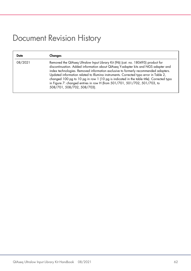### <span id="page-61-0"></span>Document Revision History

| Date    | Changes                                                                                                                                                                                                                                                                                                                                                                                                                                                                                                                                                        |
|---------|----------------------------------------------------------------------------------------------------------------------------------------------------------------------------------------------------------------------------------------------------------------------------------------------------------------------------------------------------------------------------------------------------------------------------------------------------------------------------------------------------------------------------------------------------------------|
| 08/2021 | Removed the QIAseq Ultralow Input Library Kit (96) (cat. no. 180495) product for<br>discontinuation. Added information about QIAseq Y-adapter kits and NGS adapter and<br>index technologies. Removed information exclusive to formerly recommended adapters.<br>Updated information related to Illumina instruments. Corrected typo error in Table 2,<br>changed 100 pg to 10 pg in row 1 (10 pg is indicated in the table title). Corrected typo<br>in Figure 7: changed entries in row H (from 501/701, 501/702, 501/703, to<br>508/701, 508/702, 508/703). |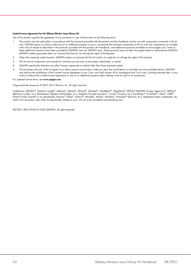#### Limited License Agreement for the QIAseq Ultralow Input Library Kit

Use of this product signifies the agreement of any purchaser or user of the product to the following terms:

- 1. The product may be used solely in accordance with the protocols provided with the product and this handbook and for use with components contained in the kit only. QIAGEN grants no license under any of its intellectual property to use or incorporate the enclosed components of this kit with any components not included within this kit except as described in the protocols provided with the product, this handbook, and additional protocols available at www.qiagen.com. Some of these additional protocols have been provided by QIAGEN users for QIAGEN users. These protocols have not been thoroughly tested or optimized by QIAGEN. QIAGEN neither guarantees them nor warrants that they do not infringe the rights of third-parties.
- 2. Other than expressly stated licenses, QIAGEN makes no warranty that this kit and/or its use(s) do not infringe the rights of third-parties.
- 3. This kit and its components are licensed for one-time use and may not be reused, refurbished, or resold.
- 4. QIAGEN specifically disclaims any other licenses, expressed or implied other than those expressly stated.
- 5. The purchaser and user of the kit agree not to take or permit anyone else to take any steps that could lead to or facilitate any acts prohibited above. QIAGEN may enforce the prohibitions of this Limited License Agreement in any Court, and shall recover all its investigative and Court costs, including attorney fees, in any action to enforce this Limited License Agreement or any of its intellectual property rights relating to the kit and/or its components.

For updated license terms, see [www.qiagen.com.](http://www.qiagen.com/)

Oligonucleotide sequences © 2007–2013 Illumina, Inc. All rights reserved.

Trademarks: QIAGEN®, Sample to Insight®, QIAamp®, QIAseq®, QIAxcel®, QIAxpert®, GeneRead™, MagAttract®, REPLI-g® (QIAGEN Group); Agencourt®, AMPure® (Beckman Coulter, Inc.); Bioanalyzer® (Agilent Technologies, Inc.); Adaptive Focused Acoustics®, Covaris® (Covaris, Inc.); DynaMag™, PicoGreen®, Qubit®, SYBR®<br>(Thermo Fisher Scientific or its subsidiaries); Illumina®, HiS used in this document, even when not specifically marked as such, are not to be considered unprotected by law.

08/2021 HB-2155-002 © 2020 QIAGEN, all rights reserved.